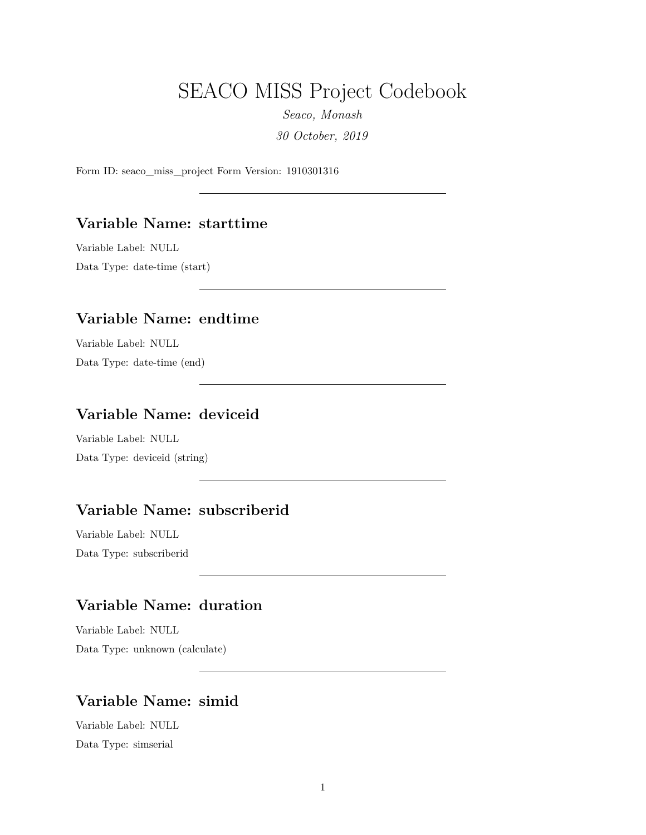# SEACO MISS Project Codebook

*Seaco, Monash 30 October, 2019*

Form ID: seaco\_miss\_project Form Version: 1910301316

### **Variable Name: starttime**

Variable Label: NULL

Data Type: date-time (start)

### **Variable Name: endtime**

Variable Label: NULL Data Type: date-time (end)

## **Variable Name: deviceid**

Variable Label: NULL Data Type: deviceid (string)

### **Variable Name: subscriberid**

Variable Label: NULL Data Type: subscriberid

## **Variable Name: duration**

Variable Label: NULL Data Type: unknown (calculate)

### **Variable Name: simid**

Variable Label: NULL Data Type: simserial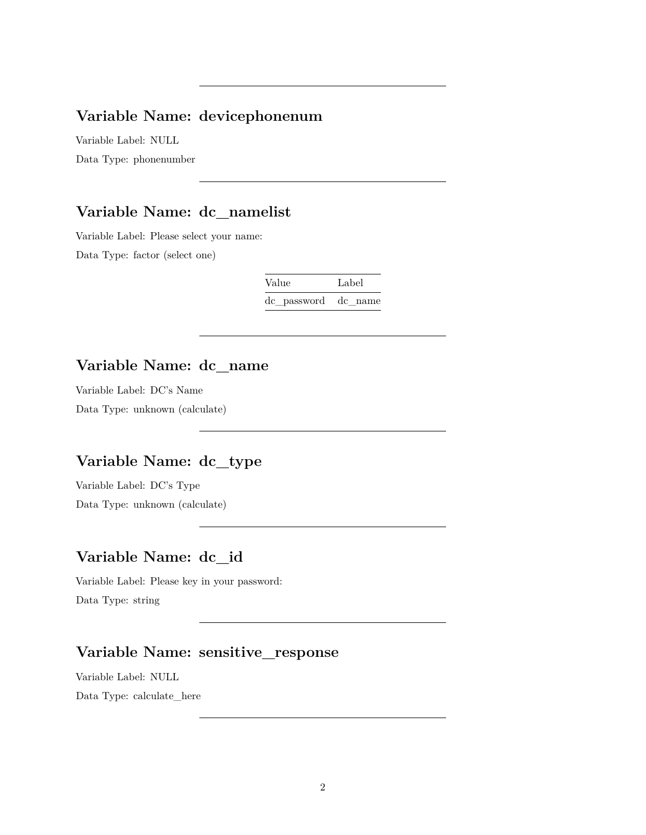### **Variable Name: devicephonenum**

Variable Label: NULL Data Type: phonenumber

### **Variable Name: dc\_namelist**

Variable Label: Please select your name: Data Type: factor (select one)

| Value               | Label |
|---------------------|-------|
| de password de name |       |

### **Variable Name: dc\_name**

Variable Label: DC's Name

Data Type: unknown (calculate)

### **Variable Name: dc\_type**

Variable Label: DC's Type Data Type: unknown (calculate)

### **Variable Name: dc\_id**

Variable Label: Please key in your password: Data Type: string

## **Variable Name: sensitive\_response**

Variable Label: NULL Data Type: calculate\_here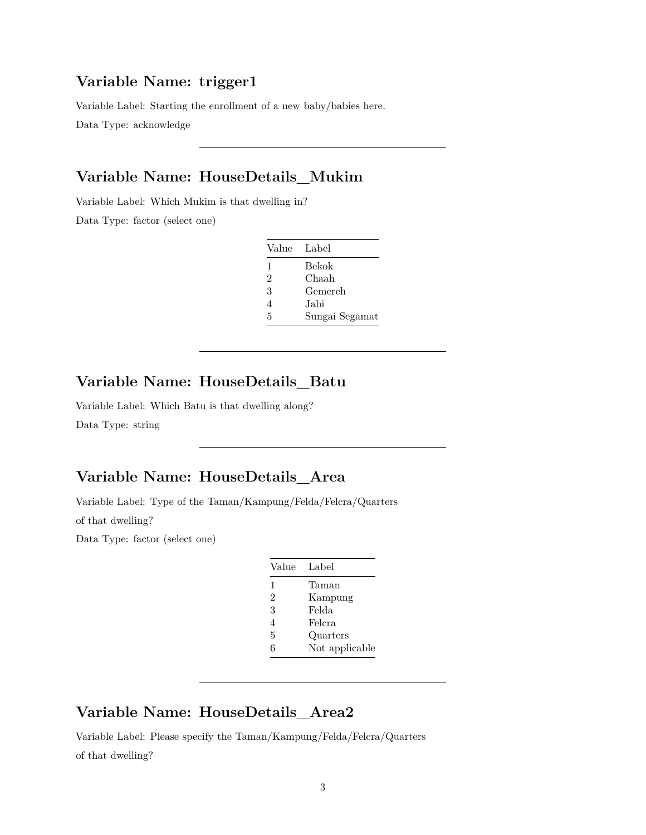### **Variable Name: trigger1**

Variable Label: Starting the enrollment of a new baby/babies here.

Data Type: acknowledge

## **Variable Name: HouseDetails\_Mukim**

Variable Label: Which Mukim is that dwelling in?

Data Type: factor (select one)

| Value Label |                |
|-------------|----------------|
| 1           | Bekok          |
| 2           | Chaah          |
| 3           | Gemereh        |
| 4           | Jabi           |
| 5           | Sungai Segamat |

### **Variable Name: HouseDetails\_Batu**

Variable Label: Which Batu is that dwelling along? Data Type: string

## **Variable Name: HouseDetails\_Area**

Variable Label: Type of the Taman/Kampung/Felda/Felcra/Quarters of that dwelling?

Data Type: factor (select one)

| Value          | Label          |
|----------------|----------------|
| 1              | Taman          |
| $\mathfrak{D}$ | Kampung        |
| 3              | Felda          |
| $\overline{4}$ | Felcra         |
| 5              | Quarters       |
| 6              | Not applicable |
|                |                |

## **Variable Name: HouseDetails\_Area2**

Variable Label: Please specify the Taman/Kampung/Felda/Felcra/Quarters of that dwelling?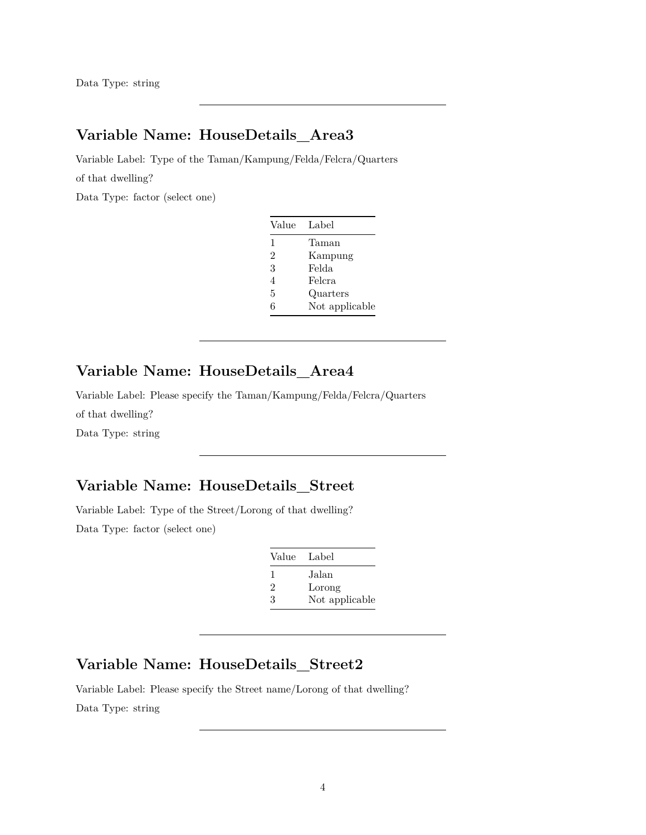## **Variable Name: HouseDetails\_Area3**

Variable Label: Type of the Taman/Kampung/Felda/Felcra/Quarters of that dwelling?

Data Type: factor (select one)

| Value          | Label          |
|----------------|----------------|
| $\mathfrak l$  | Taman          |
| $\mathfrak{D}$ | Kampung        |
| 3              | Felda          |
| 4              | Felcra         |
| 5              | Quarters       |
| 6              | Not applicable |

## **Variable Name: HouseDetails\_Area4**

Variable Label: Please specify the Taman/Kampung/Felda/Felcra/Quarters of that dwelling? Data Type: string

## **Variable Name: HouseDetails\_Street**

Variable Label: Type of the Street/Lorong of that dwelling?

Data Type: factor (select one)

| Value Label   |                |
|---------------|----------------|
| $\mathbf{I}$  | Jalan          |
| $\mathcal{D}$ | Lorong         |
| 3             | Not applicable |

### **Variable Name: HouseDetails\_Street2**

Variable Label: Please specify the Street name/Lorong of that dwelling? Data Type: string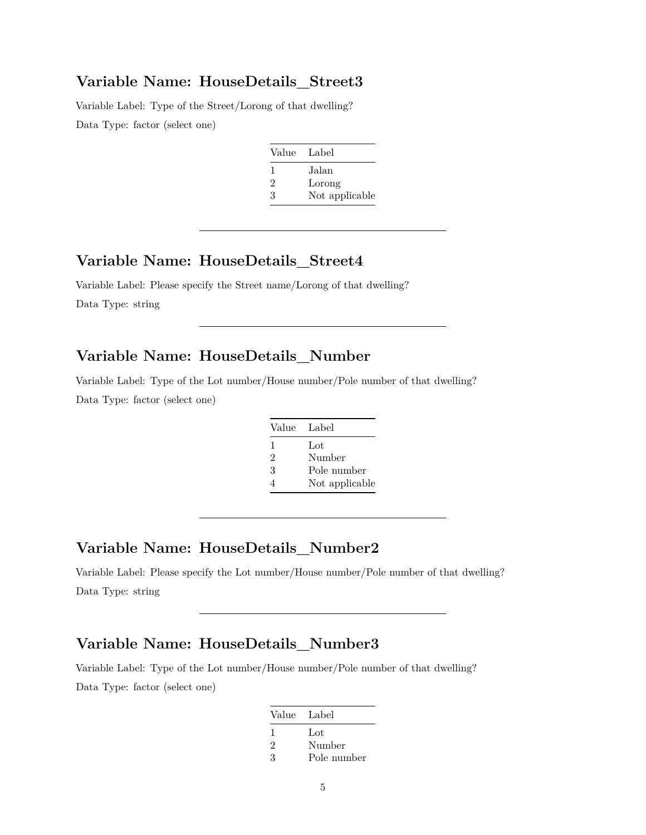#### **Variable Name: HouseDetails\_Street3**

Variable Label: Type of the Street/Lorong of that dwelling? Data Type: factor (select one)

| Value Label |                |
|-------------|----------------|
| ı.          | Jalan          |
| 2           | Lorong         |
| 3           | Not applicable |

### **Variable Name: HouseDetails\_Street4**

Variable Label: Please specify the Street name/Lorong of that dwelling? Data Type: string

## **Variable Name: HouseDetails\_Number**

Variable Label: Type of the Lot number/House number/Pole number of that dwelling? Data Type: factor (select one)

| Value Label    |                |
|----------------|----------------|
| 1              | Lot            |
| $\mathfrak{D}$ | Number         |
| 3              | Pole number    |
|                | Not applicable |

### **Variable Name: HouseDetails\_Number2**

Variable Label: Please specify the Lot number/House number/Pole number of that dwelling? Data Type: string

# **Variable Name: HouseDetails\_Number3**

Variable Label: Type of the Lot number/House number/Pole number of that dwelling? Data Type: factor (select one)

| Value Label |             |
|-------------|-------------|
| ı           | Lot         |
| 2           | Number      |
| 3           | Pole number |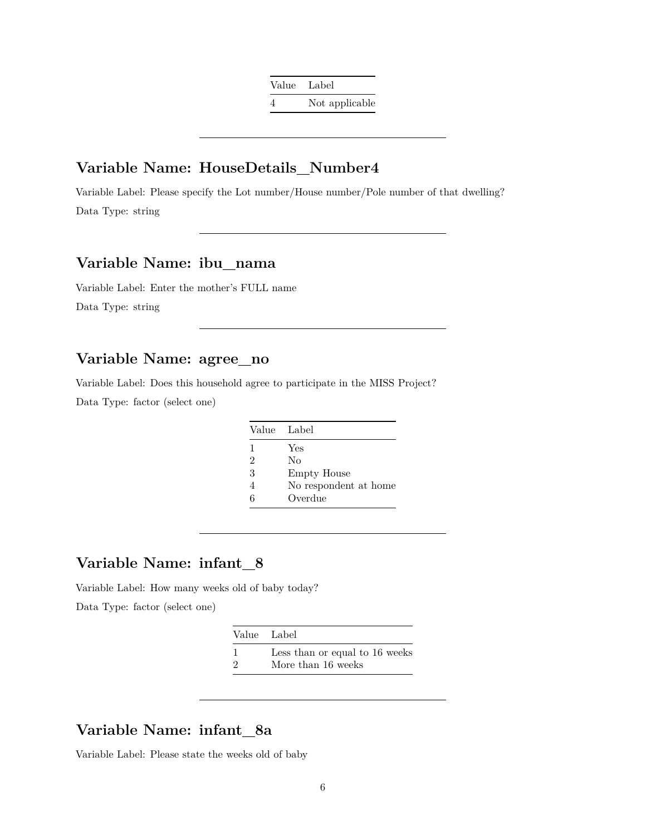Value Label 4 Not applicable

### **Variable Name: HouseDetails\_Number4**

Variable Label: Please specify the Lot number/House number/Pole number of that dwelling? Data Type: string

## **Variable Name: ibu\_nama**

Variable Label: Enter the mother's FULL name Data Type: string

### **Variable Name: agree\_no**

Variable Label: Does this household agree to participate in the MISS Project? Data Type: factor (select one)

| Value Label |                       |
|-------------|-----------------------|
| 1           | Yes                   |
| 2           | Nο                    |
| 3           | Empty House           |
|             | No respondent at home |
| հ           | Overdue               |

### **Variable Name: infant\_8**

Variable Label: How many weeks old of baby today?

Data Type: factor (select one)

| Value Label |                                |
|-------------|--------------------------------|
| -1          | Less than or equal to 16 weeks |
| - 2         | More than 16 weeks             |

## **Variable Name: infant\_8a**

Variable Label: Please state the weeks old of baby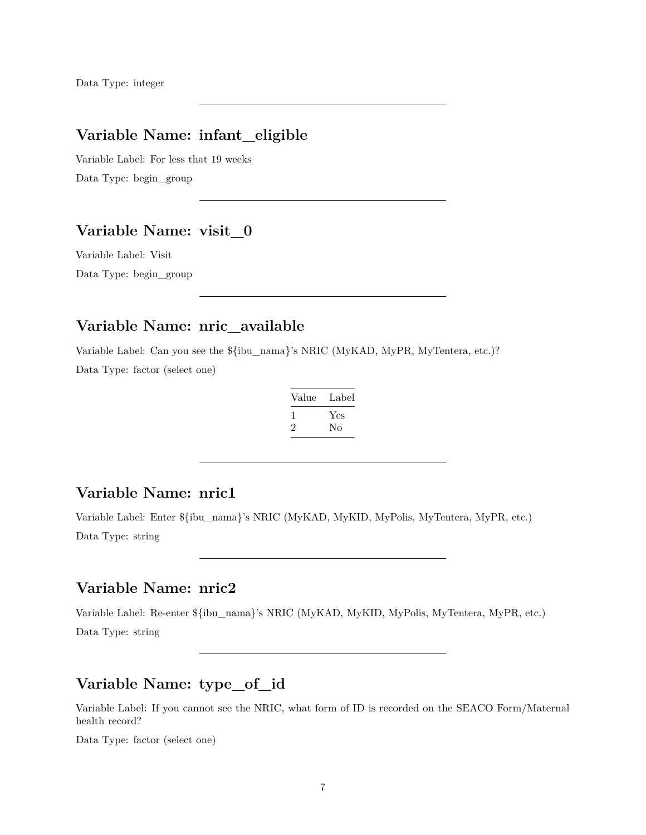## **Variable Name: infant\_eligible**

Variable Label: For less that 19 weeks Data Type: begin\_group

### **Variable Name: visit\_0**

Variable Label: Visit Data Type: begin\_group

## **Variable Name: nric\_available**

Variable Label: Can you see the \${ibu\_nama}'s NRIC (MyKAD, MyPR, MyTentera, etc.)? Data Type: factor (select one)

| Yes |
|-----|
| No  |
|     |

### **Variable Name: nric1**

Variable Label: Enter \${ibu\_nama}'s NRIC (MyKAD, MyKID, MyPolis, MyTentera, MyPR, etc.) Data Type: string

### **Variable Name: nric2**

Variable Label: Re-enter \${ibu\_nama}'s NRIC (MyKAD, MyKID, MyPolis, MyTentera, MyPR, etc.) Data Type: string

# **Variable Name: type\_of\_id**

Variable Label: If you cannot see the NRIC, what form of ID is recorded on the SEACO Form/Maternal health record?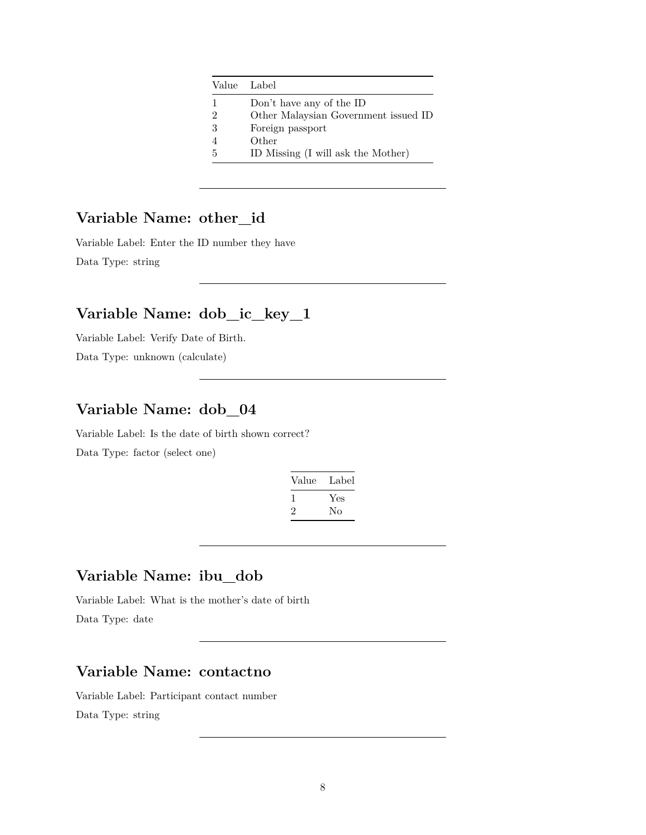| Value Label    |                                      |
|----------------|--------------------------------------|
| 1              | Don't have any of the ID             |
| $\mathfrak{D}$ | Other Malaysian Government issued ID |
| 3              | Foreign passport                     |
|                | Other                                |
| .5             | ID Missing (I will ask the Mother)   |

## **Variable Name: other\_id**

Variable Label: Enter the ID number they have Data Type: string

### **Variable Name: dob\_ic\_key\_1**

Variable Label: Verify Date of Birth.

Data Type: unknown (calculate)

### **Variable Name: dob\_04**

Variable Label: Is the date of birth shown correct? Data Type: factor (select one)

| Value | Label |
|-------|-------|
|       | Yes   |
| ۰,    | Nο    |

# **Variable Name: ibu\_dob**

Variable Label: What is the mother's date of birth Data Type: date

# **Variable Name: contactno**

Variable Label: Participant contact number Data Type: string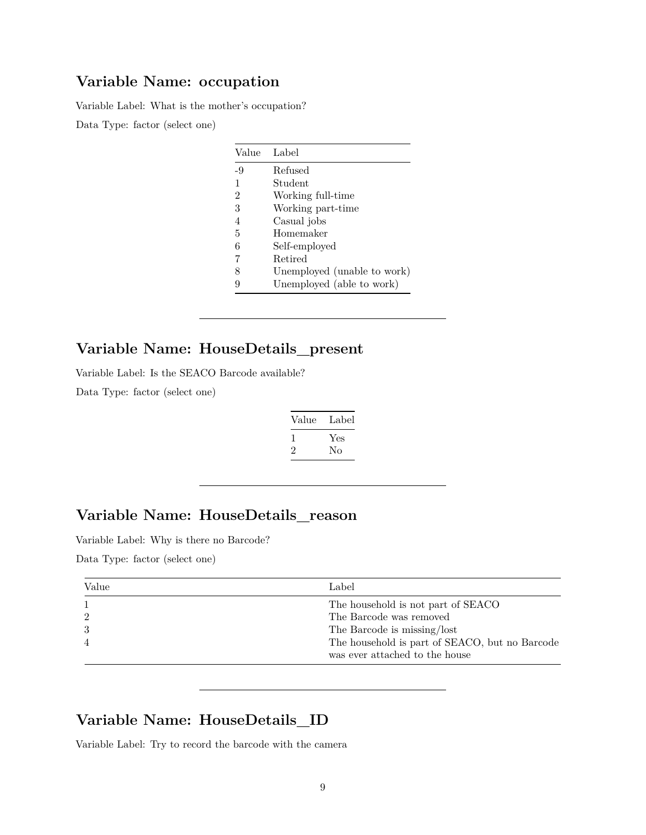### **Variable Name: occupation**

Variable Label: What is the mother's occupation?

Data Type: factor (select one)

| Value          | Label                       |
|----------------|-----------------------------|
| $-9$           | Refused                     |
| 1              | Student                     |
| $\overline{2}$ | Working full-time           |
| 3              | Working part-time           |
| 4              | Casual jobs                 |
| 5              | Homemaker                   |
| 6              | Self-employed               |
| 7              | Retired                     |
| 8              | Unemployed (unable to work) |
|                | Unemployed (able to work)   |

### **Variable Name: HouseDetails\_present**

Variable Label: Is the SEACO Barcode available?

Data Type: factor (select one)

| Value | Label     |
|-------|-----------|
| '2    | Yes<br>Nο |

## **Variable Name: HouseDetails\_reason**

Variable Label: Why is there no Barcode?

Data Type: factor (select one)

| Value          | Label                                          |
|----------------|------------------------------------------------|
|                | The household is not part of SEACO             |
| 2              | The Barcode was removed                        |
| 3              | The Barcode is missing/lost                    |
| $\overline{4}$ | The household is part of SEACO, but no Barcode |
|                | was ever attached to the house                 |

# **Variable Name: HouseDetails\_ID**

Variable Label: Try to record the barcode with the camera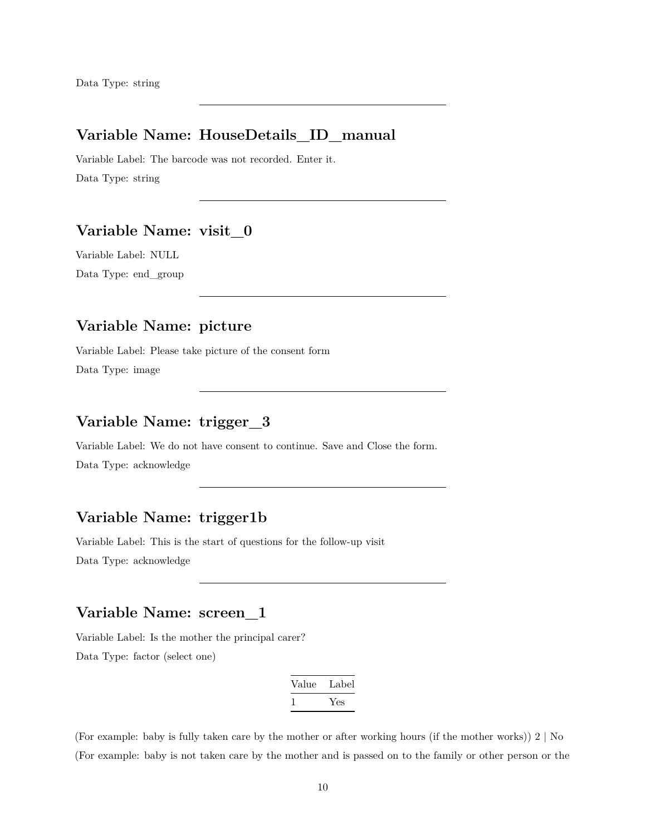### **Variable Name: HouseDetails\_ID\_manual**

Variable Label: The barcode was not recorded. Enter it. Data Type: string

### **Variable Name: visit\_0**

Variable Label: NULL Data Type: end\_group

## **Variable Name: picture**

Variable Label: Please take picture of the consent form Data Type: image

### **Variable Name: trigger\_3**

Variable Label: We do not have consent to continue. Save and Close the form. Data Type: acknowledge

### **Variable Name: trigger1b**

Variable Label: This is the start of questions for the follow-up visit Data Type: acknowledge

#### **Variable Name: screen\_1**

Variable Label: Is the mother the principal carer? Data Type: factor (select one)

| Value        | Label |
|--------------|-------|
| $\mathbf{I}$ | Yes   |

(For example: baby is fully taken care by the mother or after working hours (if the mother works)) 2 | No (For example: baby is not taken care by the mother and is passed on to the family or other person or the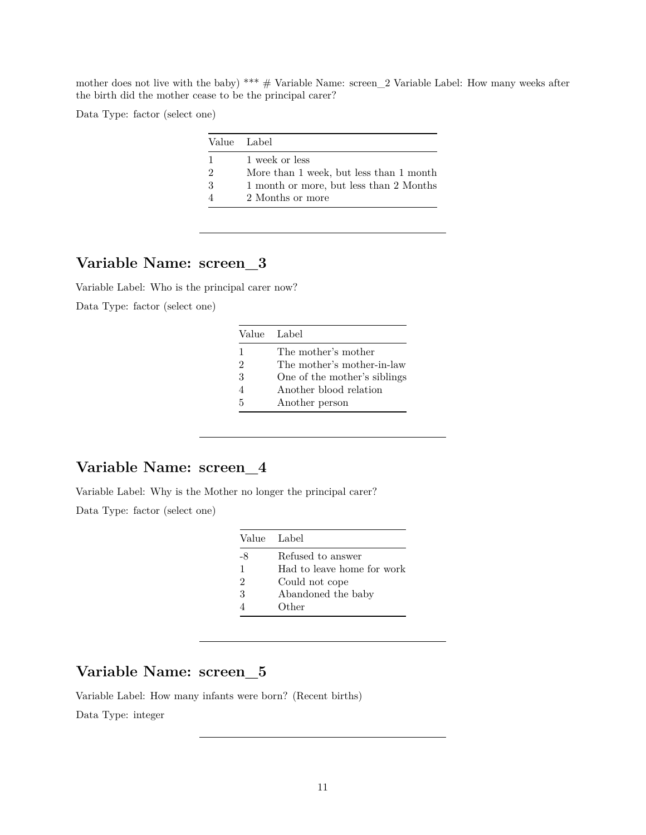mother does not live with the baby) \*\*\*  $\#$  Variable Name: screen 2 Variable Label: How many weeks after the birth did the mother cease to be the principal carer?

Data Type: factor (select one)

|               | Value Label                             |
|---------------|-----------------------------------------|
| 1             | 1 week or less                          |
| $\mathcal{D}$ | More than 1 week, but less than 1 month |
| 3             | 1 month or more, but less than 2 Months |
|               | 2 Months or more                        |
|               |                                         |

# **Variable Name: screen\_3**

Variable Label: Who is the principal carer now? Data Type: factor (select one)

|   | Value Label                  |
|---|------------------------------|
| 1 | The mother's mother          |
| 2 | The mother's mother-in-law   |
| 3 | One of the mother's siblings |
| 4 | Another blood relation       |
| 5 | Another person               |

## **Variable Name: screen\_4**

Variable Label: Why is the Mother no longer the principal carer?

Data Type: factor (select one)

| Value Label |                            |
|-------------|----------------------------|
| -8          | Refused to answer          |
| 1           | Had to leave home for work |
| 2           | Could not cope             |
| 3           | Abandoned the baby         |
|             | Other                      |

## **Variable Name: screen\_5**

Variable Label: How many infants were born? (Recent births) Data Type: integer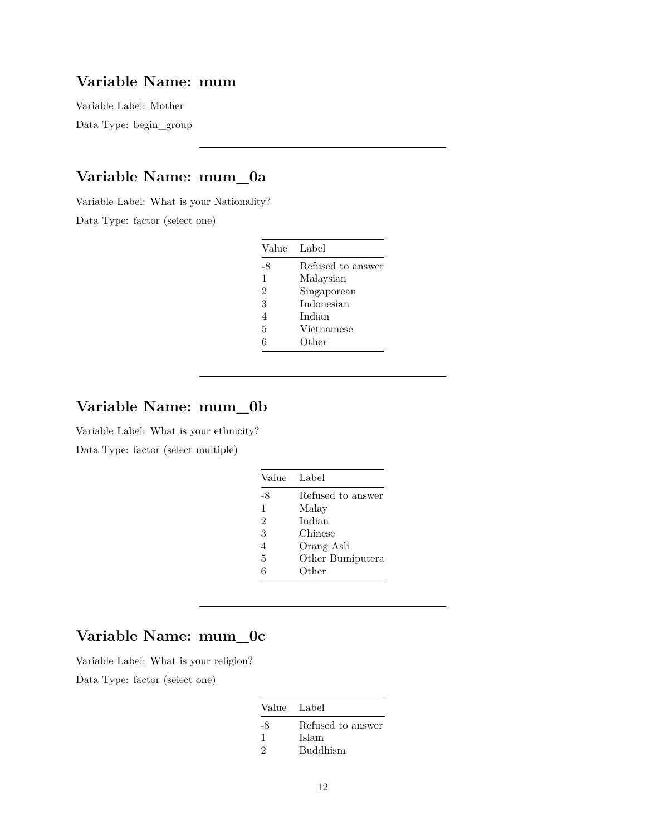## **Variable Name: mum**

Variable Label: Mother Data Type: begin\_group

# **Variable Name: mum\_0a**

Variable Label: What is your Nationality? Data Type: factor (select one)

|                | Value Label       |
|----------------|-------------------|
| -8             | Refused to answer |
| 1              | Malaysian         |
| $\overline{2}$ | Singaporean       |
| 3              | Indonesian        |
| 4              | Indian            |
| 5              | Vietnamese        |
| 6              | Other             |

### **Variable Name: mum\_0b**

Variable Label: What is your ethnicity?

Data Type: factor (select multiple)

| Value Label |                   |
|-------------|-------------------|
| -8          | Refused to answer |
| 1           | Malay             |
| 2           | Indian            |
| 3           | Chinese           |
| 4           | Orang Asli        |
| 5           | Other Bumiputera  |
| 6           | Other             |

# **Variable Name: mum\_0c**

Variable Label: What is your religion?

| Value Label |                   |
|-------------|-------------------|
| -8          | Refused to answer |
| ı           | Islam             |
| 9           | <b>Buddhism</b>   |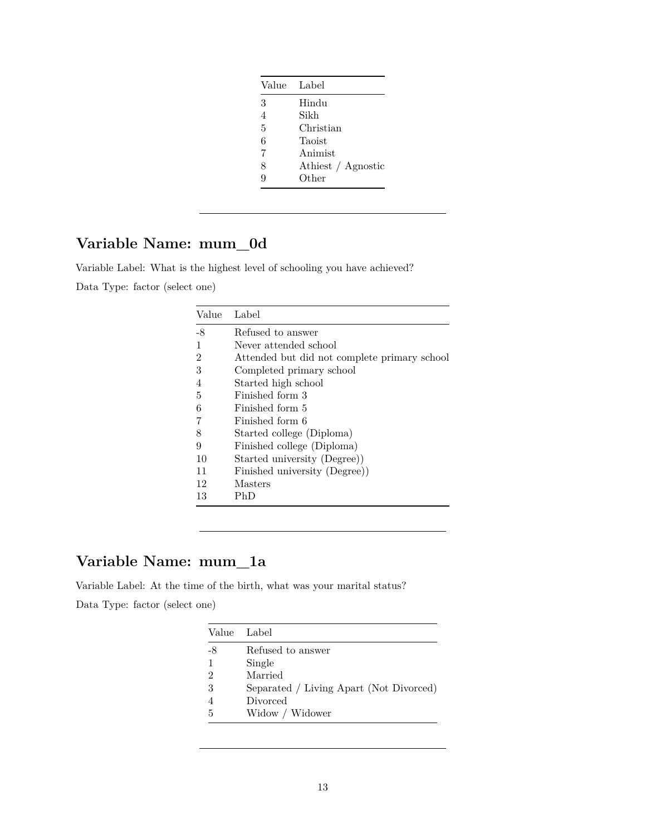| Value Label    |                    |
|----------------|--------------------|
| 3              | Hindu              |
| $\overline{4}$ | Sikh               |
| 5              | Christian          |
| 6              | Taoist             |
| 7              | Animist            |
| 8              | Athiest / Agnostic |
| q              | Other              |

# **Variable Name: mum\_0d**

Variable Label: What is the highest level of schooling you have achieved? Data Type: factor (select one)

| Value | Label                                        |
|-------|----------------------------------------------|
| $-8$  | Refused to answer                            |
| 1     | Never attended school                        |
| 2     | Attended but did not complete primary school |
| 3     | Completed primary school                     |
| 4     | Started high school                          |
| 5     | Finished form 3                              |
| 6     | Finished form 5                              |
| 7     | Finished form 6                              |
| 8     | Started college (Diploma)                    |
| 9     | Finished college (Diploma)                   |
| 10    | Started university (Degree))                 |
| 11    | Finished university (Degree))                |
| 12    | <b>Masters</b>                               |
| 13    | PhD                                          |

# **Variable Name: mum\_1a**

Variable Label: At the time of the birth, what was your marital status?

|    | Value Label                             |
|----|-----------------------------------------|
| -8 | Refused to answer                       |
| 1  | Single                                  |
| 2  | Married                                 |
| 3  | Separated / Living Apart (Not Divorced) |
|    | Divorced                                |
| 5  | Widow / Widower                         |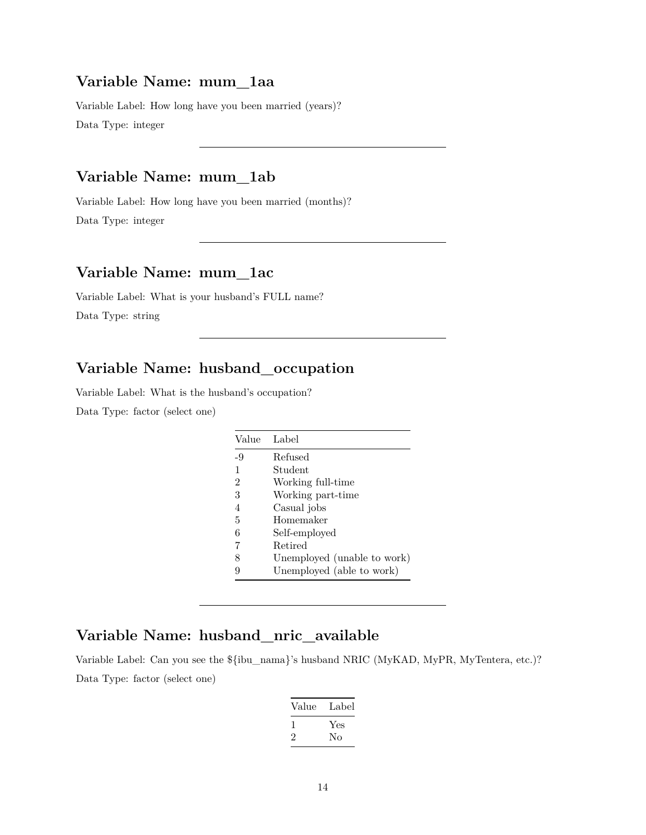### **Variable Name: mum\_1aa**

Variable Label: How long have you been married (years)? Data Type: integer

## **Variable Name: mum\_1ab**

Variable Label: How long have you been married (months)? Data Type: integer

### **Variable Name: mum\_1ac**

Variable Label: What is your husband's FULL name? Data Type: string

## **Variable Name: husband\_occupation**

Variable Label: What is the husband's occupation?

Data Type: factor (select one)

| Value          | Label                       |
|----------------|-----------------------------|
| -9             | Refused                     |
| 1              | Student                     |
| $\overline{2}$ | Working full-time           |
| 3              | Working part-time           |
| 4              | Casual jobs                 |
| 5              | Homemaker                   |
| 6              | Self-employed               |
| 7              | Retired                     |
| 8              | Unemployed (unable to work) |
| 9              | Unemployed (able to work)   |

## **Variable Name: husband\_nric\_available**

Variable Label: Can you see the \${ibu\_nama}'s husband NRIC (MyKAD, MyPR, MyTentera, etc.)? Data Type: factor (select one)

| Value   | Label |
|---------|-------|
| 1       | Yes   |
| $\cdot$ | Nο    |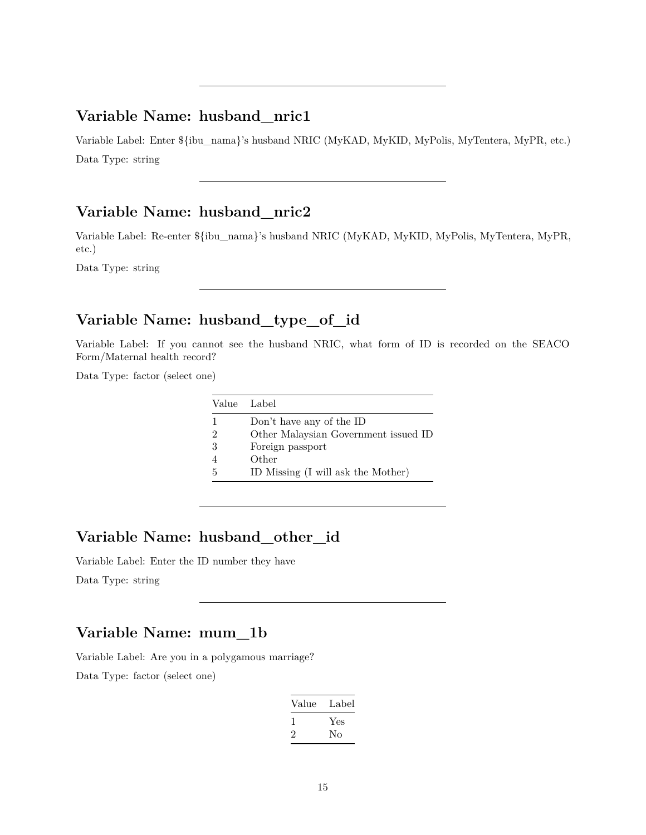### **Variable Name: husband\_nric1**

Variable Label: Enter \${ibu\_nama}'s husband NRIC (MyKAD, MyKID, MyPolis, MyTentera, MyPR, etc.) Data Type: string

### **Variable Name: husband\_nric2**

Variable Label: Re-enter \${ibu\_nama}'s husband NRIC (MyKAD, MyKID, MyPolis, MyTentera, MyPR, etc.)

Data Type: string

### **Variable Name: husband\_type\_of\_id**

Variable Label: If you cannot see the husband NRIC, what form of ID is recorded on the SEACO Form/Maternal health record?

Data Type: factor (select one)

|               | Value Label                          |
|---------------|--------------------------------------|
|               | Don't have any of the ID             |
| $\mathcal{D}$ | Other Malaysian Government issued ID |
| 3             | Foreign passport                     |
|               | Other                                |
| 5             | ID Missing (I will ask the Mother)   |

### **Variable Name: husband\_other\_id**

Variable Label: Enter the ID number they have Data Type: string

### **Variable Name: mum\_1b**

Variable Label: Are you in a polygamous marriage? Data Type: factor (select one)

| Label |
|-------|
| Yes   |
| Nο    |
|       |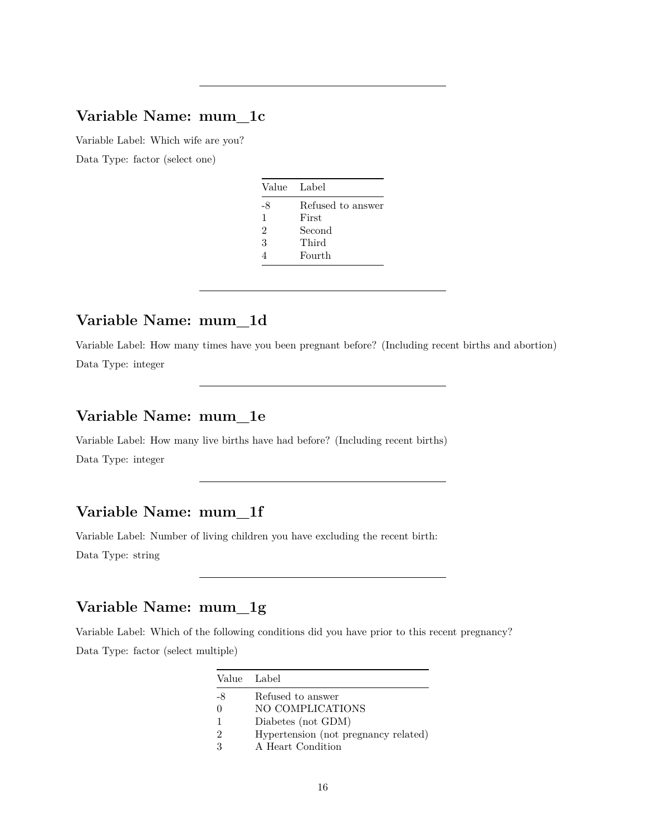## **Variable Name: mum\_1c**

Variable Label: Which wife are you? Data Type: factor (select one)

| Value Label    |                   |
|----------------|-------------------|
| -8             | Refused to answer |
| 1              | First             |
| $\overline{2}$ | Second            |
| 3              | Third             |
|                | Fourth            |

# **Variable Name: mum\_1d**

Variable Label: How many times have you been pregnant before? (Including recent births and abortion) Data Type: integer

# **Variable Name: mum\_1e**

Variable Label: How many live births have had before? (Including recent births) Data Type: integer

# **Variable Name: mum\_1f**

Variable Label: Number of living children you have excluding the recent birth: Data Type: string

# **Variable Name: mum\_1g**

Variable Label: Which of the following conditions did you have prior to this recent pregnancy? Data Type: factor (select multiple)

|                             | Value Label                          |
|-----------------------------|--------------------------------------|
| -8                          | Refused to answer                    |
| 0                           | NO COMPLICATIONS                     |
| 1                           | Diabetes (not GDM)                   |
| $\mathcal{D}_{\mathcal{L}}$ | Hypertension (not pregnancy related) |
| 3                           | A Heart Condition                    |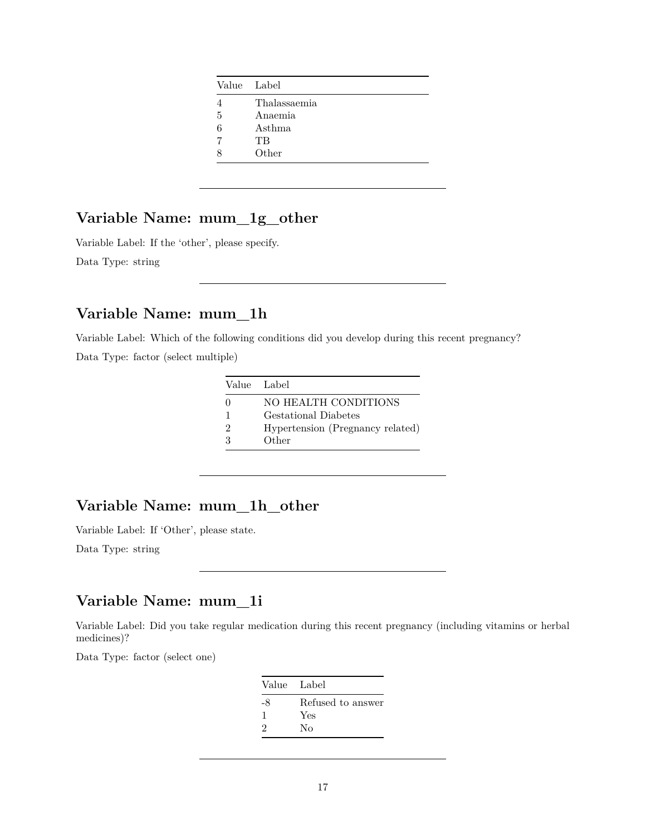|   | Value Label  |
|---|--------------|
|   | Thalassaemia |
| 5 | Anaemia      |
| 6 | Asthma       |
|   | TВ           |
|   | Other        |
|   |              |

# **Variable Name: mum\_1g\_other**

Variable Label: If the 'other', please specify.

Data Type: string

## **Variable Name: mum\_1h**

Variable Label: Which of the following conditions did you develop during this recent pregnancy? Data Type: factor (select multiple)

> Value Label 0 NO HEALTH CONDITIONS 1 Gestational Diabetes 2 Hypertension (Pregnancy related) 3 Other

# **Variable Name: mum\_1h\_other**

Variable Label: If 'Other', please state.

Data Type: string

### **Variable Name: mum\_1i**

Variable Label: Did you take regular medication during this recent pregnancy (including vitamins or herbal medicines)?

| Value Label |                   |
|-------------|-------------------|
| -8          | Refused to answer |
| H           | Yes               |
| $\Omega$    | Nο                |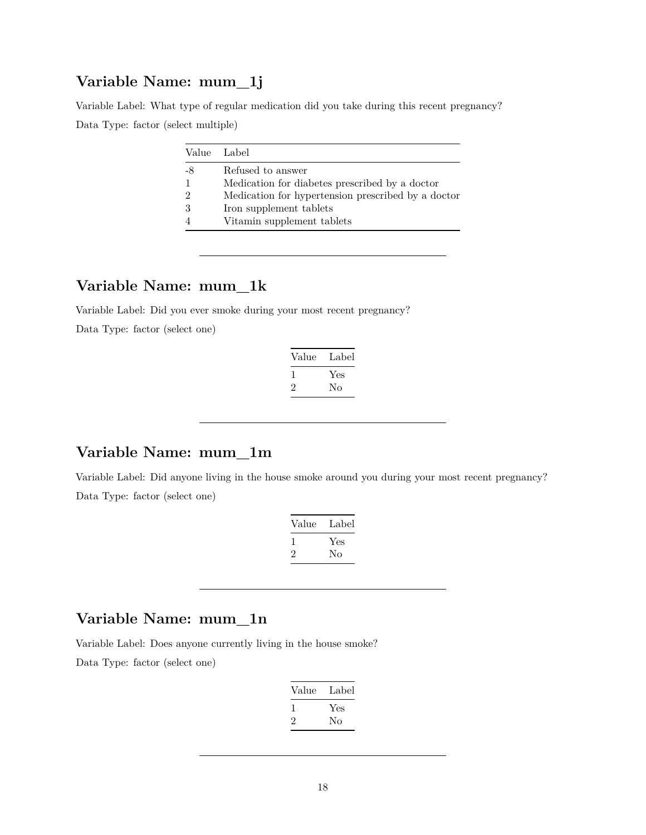## **Variable Name: mum\_1j**

Variable Label: What type of regular medication did you take during this recent pregnancy? Data Type: factor (select multiple)

|    | Value Label                                        |
|----|----------------------------------------------------|
| -8 | Refused to answer                                  |
|    | Medication for diabetes prescribed by a doctor     |
| 2  | Medication for hypertension prescribed by a doctor |
|    | Iron supplement tablets                            |
|    | Vitamin supplement tablets                         |

# **Variable Name: mum\_1k**

Variable Label: Did you ever smoke during your most recent pregnancy? Data Type: factor (select one)

| Value   | Label |
|---------|-------|
| -1      | Yes   |
| $\cdot$ | No    |

### **Variable Name: mum\_1m**

Variable Label: Did anyone living in the house smoke around you during your most recent pregnancy? Data Type: factor (select one)

| Value | Label |
|-------|-------|
|       | Yes   |
| ۰,    | Nο    |

### **Variable Name: mum\_1n**

Variable Label: Does anyone currently living in the house smoke?

| Value | Label |
|-------|-------|
|       | Yes   |
| ۰,    | Nο    |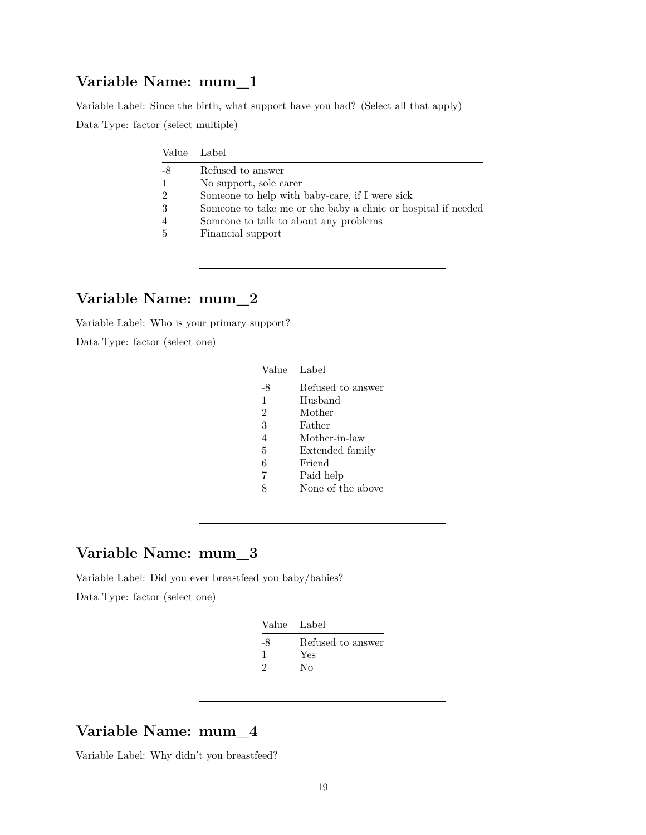### **Variable Name: mum\_1**

Variable Label: Since the birth, what support have you had? (Select all that apply) Data Type: factor (select multiple)

| Value Label |                                                               |
|-------------|---------------------------------------------------------------|
|             | Refused to answer                                             |
|             | No support, sole carer                                        |
| 2           | Someone to help with baby-care, if I were sick                |
|             | Someone to take me or the baby a clinic or hospital if needed |
|             | Someone to talk to about any problems                         |
| 5           | Financial support                                             |

### **Variable Name: mum\_2**

Variable Label: Who is your primary support?

Data Type: factor (select one)

| Value          | Label             |
|----------------|-------------------|
| -8             | Refused to answer |
| 1              | Husband           |
| $\overline{2}$ | Mother            |
| 3              | Father            |
| $\overline{4}$ | Mother-in-law     |
| 5              | Extended family   |
| 6              | Friend            |
| 7              | Paid help         |
| Ω              | None of the above |

# **Variable Name: mum\_3**

Variable Label: Did you ever breastfeed you baby/babies?

Data Type: factor (select one)

| Value Label |                   |
|-------------|-------------------|
| -8          | Refused to answer |
| ı           | Yes               |
| 9           | Nο                |
|             |                   |

## **Variable Name: mum\_4**

Variable Label: Why didn't you breastfeed?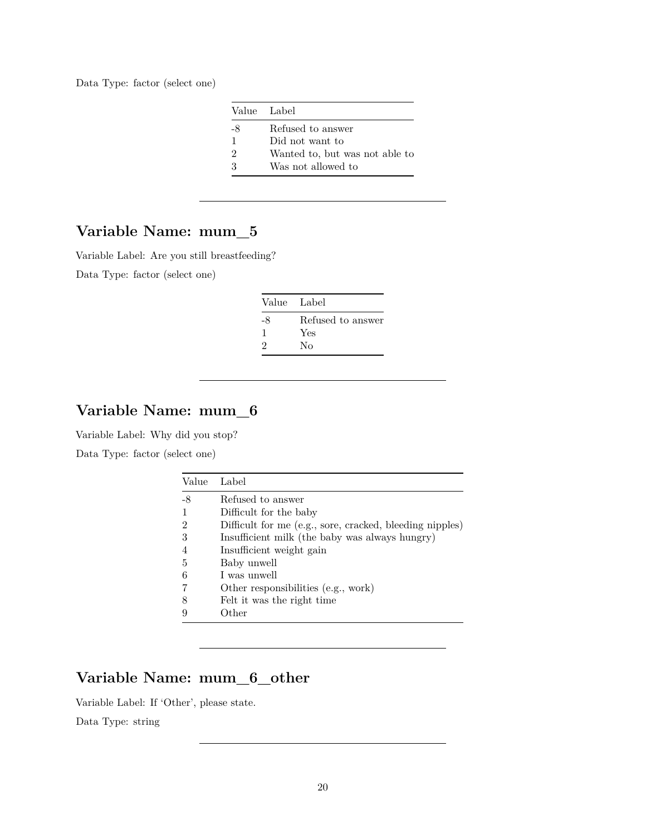Data Type: factor (select one)

|              | Value Label                    |
|--------------|--------------------------------|
| -8           | Refused to answer              |
| $\mathbf{1}$ | Did not want to                |
| 2            | Wanted to, but was not able to |
| २            | Was not allowed to             |

## **Variable Name: mum\_5**

Variable Label: Are you still breastfeeding?

Data Type: factor (select one)

| Value Label |                   |
|-------------|-------------------|
| -8          | Refused to answer |
|             | Yes               |
| '2          | Nο                |

### **Variable Name: mum\_6**

Variable Label: Why did you stop?

Data Type: factor (select one)

| Value          | Label                                                    |
|----------------|----------------------------------------------------------|
| -8             | Refused to answer                                        |
| -1             | Difficult for the baby                                   |
| $\overline{2}$ | Difficult for me (e.g., sore, cracked, bleeding nipples) |
| 3              | Insufficient milk (the baby was always hungry)           |
| $\overline{4}$ | Insufficient weight gain                                 |
| 5              | Baby unwell                                              |
| 6              | I was unwell                                             |
| 7              | Other responsibilities (e.g., work)                      |
| 8              | Felt it was the right time                               |
| 9              | Other                                                    |

# **Variable Name: mum\_6\_other**

Variable Label: If 'Other', please state.

Data Type: string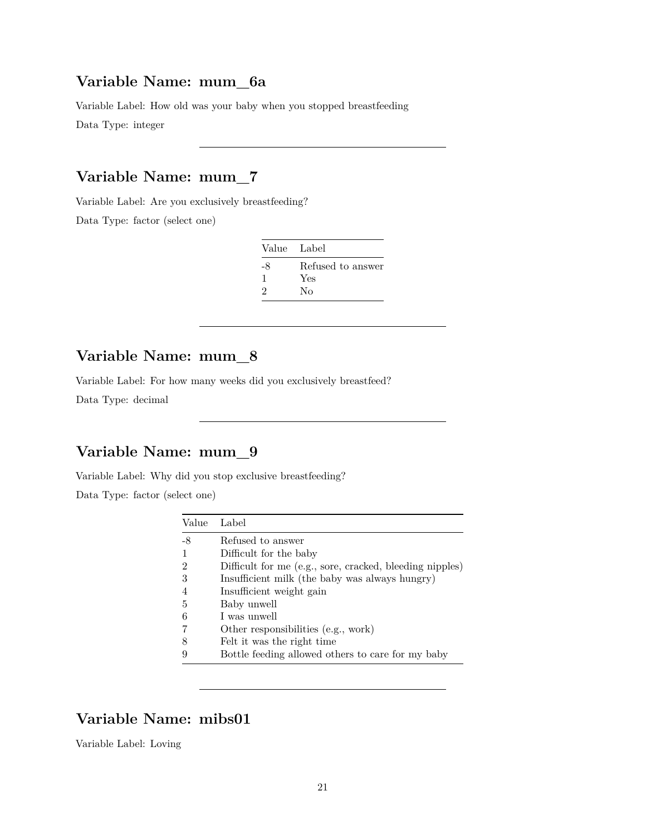### **Variable Name: mum\_6a**

Variable Label: How old was your baby when you stopped breastfeeding Data Type: integer

# **Variable Name: mum\_7**

Variable Label: Are you exclusively breastfeeding?

Data Type: factor (select one)

| Value Label |                   |
|-------------|-------------------|
| -8          | Refused to answer |
|             | Yes               |
| 9           | Nο                |

### **Variable Name: mum\_8**

Variable Label: For how many weeks did you exclusively breastfeed?

Data Type: decimal

## **Variable Name: mum\_9**

Variable Label: Why did you stop exclusive breastfeeding?

Data Type: factor (select one)

| Value          | Label                                                    |
|----------------|----------------------------------------------------------|
| -8             | Refused to answer                                        |
|                | Difficult for the baby                                   |
| 2              | Difficult for me (e.g., sore, cracked, bleeding nipples) |
| -3             | Insufficient milk (the baby was always hungry)           |
| $\overline{4}$ | Insufficient weight gain                                 |
| -5             | Baby unwell                                              |
| 6              | I was unwell                                             |
|                | Other responsibilities (e.g., work)                      |
| 8              | Felt it was the right time                               |
| 9              | Bottle feeding allowed others to care for my baby        |

# **Variable Name: mibs01**

Variable Label: Loving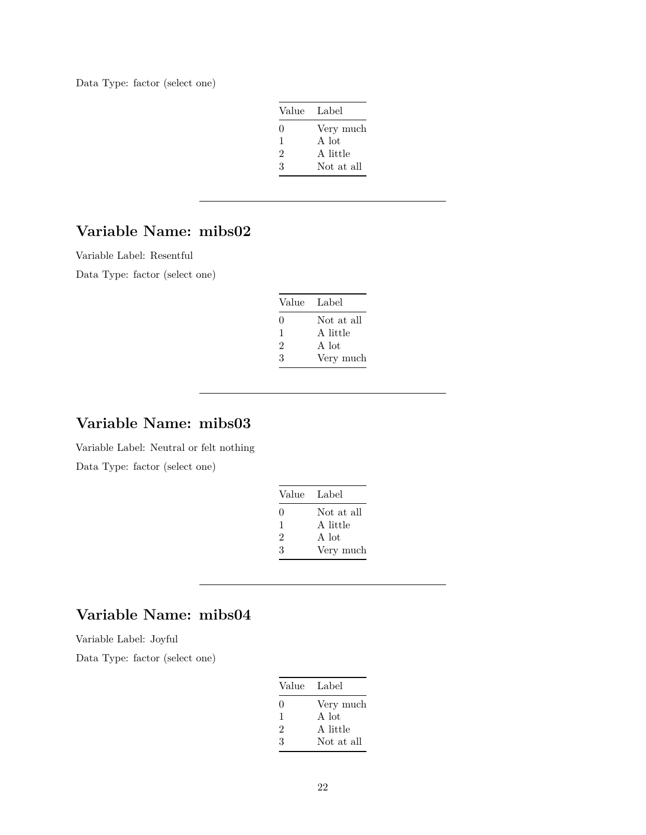Data Type: factor (select one)

| Value Label    |            |
|----------------|------------|
| $\Omega$       | Very much  |
| 1              | A lot      |
| $\overline{2}$ | A little   |
| 3              | Not at all |

# **Variable Name: mibs02**

Variable Label: Resentful

Data Type: factor (select one)

| Value Label      |            |
|------------------|------------|
| $\left( \right)$ | Not at all |
| 1                | A little   |
| 2                | A lot      |
| 3                | Very much  |
|                  |            |

# **Variable Name: mibs03**

Variable Label: Neutral or felt nothing Data Type: factor (select one)

| Value Label |            |
|-------------|------------|
| $\Omega$    | Not at all |
| 1           | A little   |
| 2           | A lot      |
| З           | Very much  |

# **Variable Name: mibs04**

Variable Label: Joyful

| Value Label      |            |
|------------------|------------|
| $\left( \right)$ | Very much  |
| 1                | A lot      |
| 2                | A little   |
| 3                | Not at all |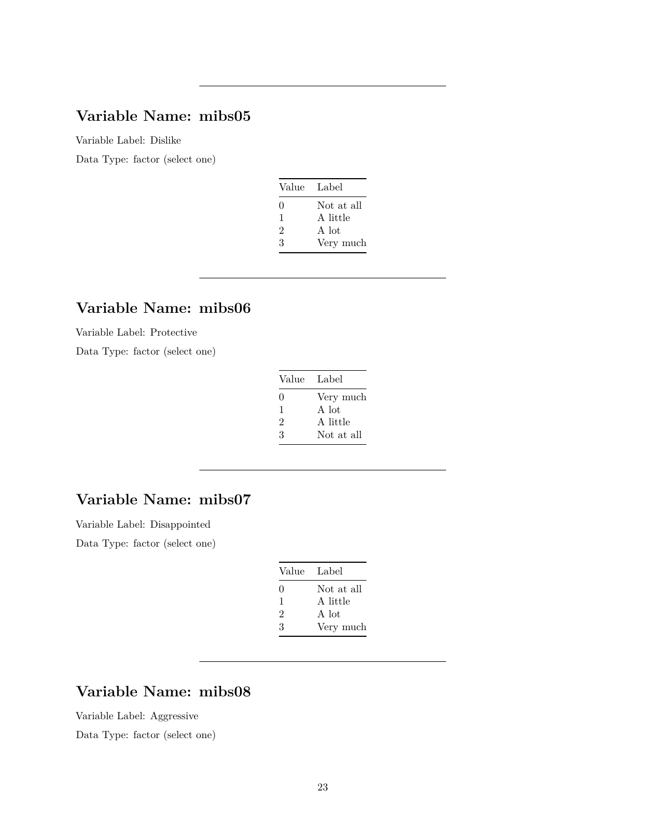# **Variable Name: mibs05**

Variable Label: Dislike

Data Type: factor (select one)

| Value Label |            |
|-------------|------------|
| $\Omega$    | Not at all |
| 1           | A little   |
| 2           | A lot      |
| 3           | Very much  |

# **Variable Name: mibs06**

Variable Label: Protective

Data Type: factor (select one)

| Value Label |            |
|-------------|------------|
| $\Omega$    | Very much  |
| 1           | A lot      |
| 2           | A little   |
| З           | Not at all |

## **Variable Name: mibs07**

Variable Label: Disappointed

Data Type: factor (select one)

| Value Label |            |
|-------------|------------|
| 0           | Not at all |
| 1           | A little   |
| 2           | A lot      |
| 3           | Very much  |

# **Variable Name: mibs08**

Variable Label: Aggressive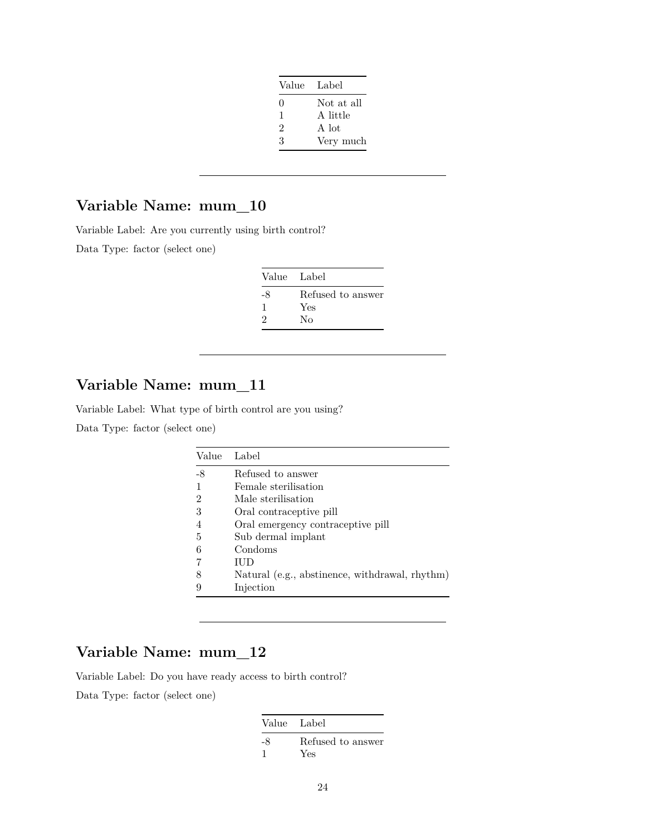| Value Label    |            |
|----------------|------------|
| $\Omega$       | Not at all |
| 1              | A little   |
| $\overline{2}$ | A lot      |
| 3              | Very much  |

# **Variable Name: mum\_10**

Variable Label: Are you currently using birth control?

Data Type: factor (select one)

| Value Label |                                |
|-------------|--------------------------------|
| -8<br>9     | Refused to answer<br>Yes<br>Nο |

# **Variable Name: mum\_11**

Variable Label: What type of birth control are you using?

Data Type: factor (select one)

| Value | Label                                          |
|-------|------------------------------------------------|
| -8    | Refused to answer                              |
|       | Female sterilisation                           |
| 2     | Male sterilisation                             |
| 3     | Oral contraceptive pill                        |
|       | Oral emergency contraceptive pill              |
| 5     | Sub dermal implant                             |
| 6     | Condoms                                        |
|       | ШD                                             |
| 8     | Natural (e.g., abstinence, withdrawal, rhythm) |
| 9     | Injection                                      |

# **Variable Name: mum\_12**

Variable Label: Do you have ready access to birth control?

| Value Label |                   |
|-------------|-------------------|
| -8          | Refused to answer |
| -1          | Yes               |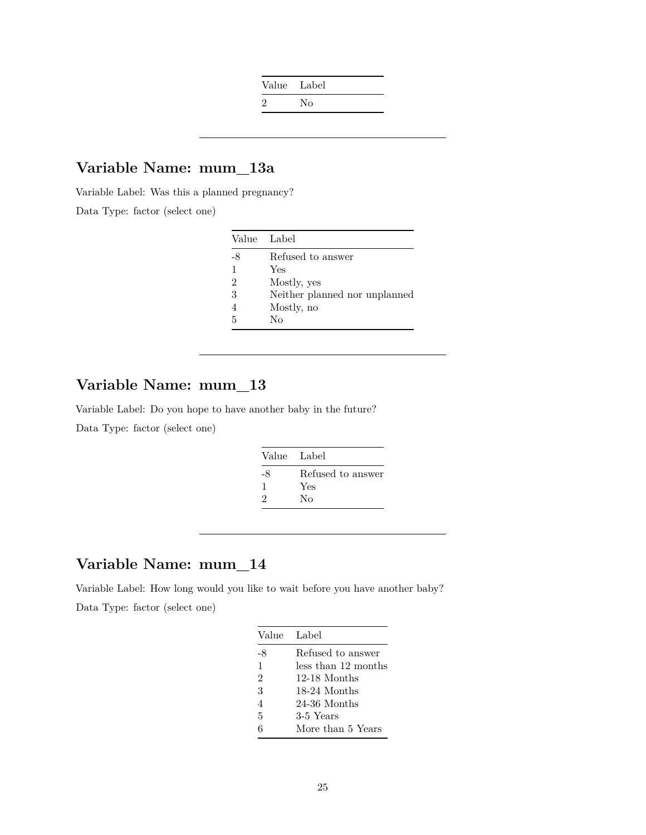| Value Label |     |
|-------------|-----|
|             | No. |

## **Variable Name: mum\_13a**

Variable Label: Was this a planned pregnancy?

Data Type: factor (select one)

| Value Label |                               |
|-------------|-------------------------------|
| -8          | Refused to answer             |
| 1           | Yes                           |
| 2           | Mostly, yes                   |
| 3           | Neither planned nor unplanned |
|             | Mostly, no                    |
| 5           | Nο                            |

# **Variable Name: mum\_13**

Variable Label: Do you hope to have another baby in the future? Data Type: factor (select one)

|    | Value Label       |
|----|-------------------|
| -8 | Refused to answer |
|    | Yes               |
|    | Nο                |

# **Variable Name: mum\_14**

Variable Label: How long would you like to wait before you have another baby? Data Type: factor (select one)

|                | Value Label         |
|----------------|---------------------|
| -8             | Refused to answer   |
| $\mathbf{1}$   | less than 12 months |
| $\mathfrak{D}$ | 12-18 Months        |
| 3              | 18-24 Months        |
| $\overline{4}$ | 24-36 Months        |
| 5              | 3-5 Years           |
| 6              | More than 5 Years   |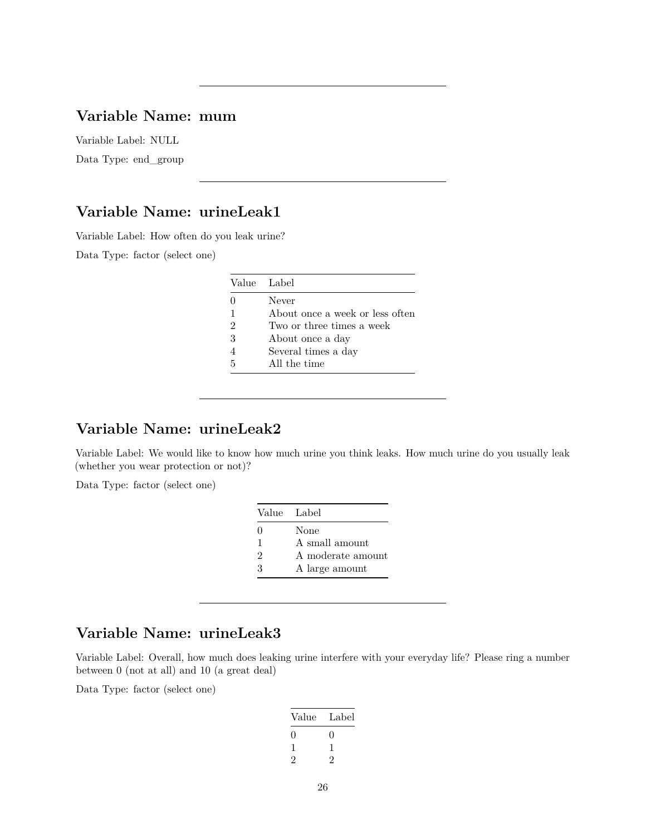### **Variable Name: mum**

Variable Label: NULL Data Type: end\_group

# **Variable Name: urineLeak1**

Variable Label: How often do you leak urine?

Data Type: factor (select one)

|                | Value Label                     |
|----------------|---------------------------------|
|                | Never                           |
| 1              | About once a week or less often |
| $\mathfrak{D}$ | Two or three times a week       |
| 3              | About once a day                |
|                | Several times a day             |
| 5              | All the time                    |

## **Variable Name: urineLeak2**

Variable Label: We would like to know how much urine you think leaks. How much urine do you usually leak (whether you wear protection or not)?

Data Type: factor (select one)

| Value Label      |                   |
|------------------|-------------------|
| $\left( \right)$ | None              |
| 1                | A small amount    |
| $\mathfrak{D}$   | A moderate amount |
| 3                | A large amount    |

# **Variable Name: urineLeak3**

Variable Label: Overall, how much does leaking urine interfere with your everyday life? Please ring a number between 0 (not at all) and 10 (a great deal)

| Value | Label             |
|-------|-------------------|
| 0     | $\mathbf{\Omega}$ |
|       |                   |
| 2     |                   |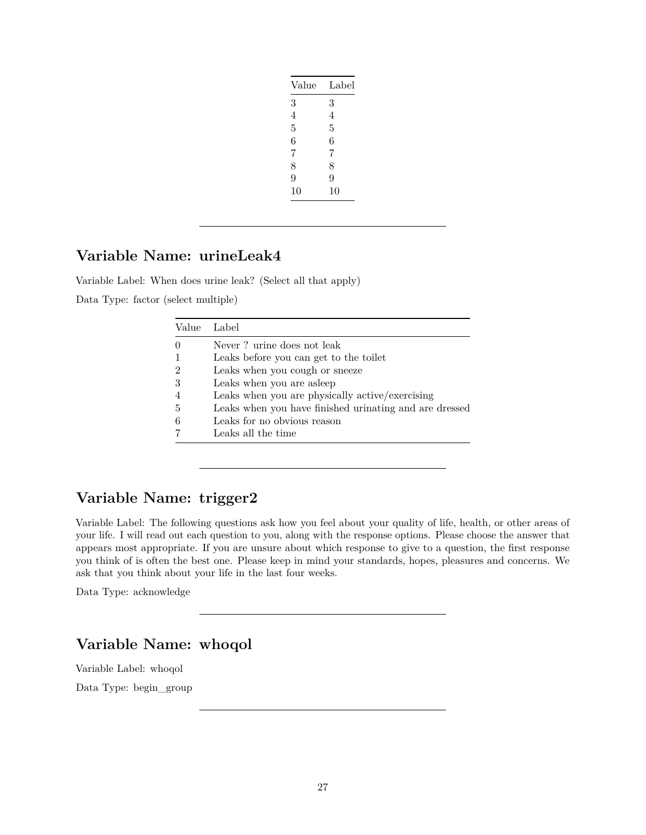| Value | Label |
|-------|-------|
| 3     | 3     |
| 4     | 4     |
| 5     | 5     |
| 6     | 6     |
| 7     | 7     |
| 8     | 8     |
| 9     | 9     |
| 10    | 10    |
|       |       |

### **Variable Name: urineLeak4**

Variable Label: When does urine leak? (Select all that apply)

Data Type: factor (select multiple)

|                | Value Label                                            |
|----------------|--------------------------------------------------------|
| $\theta$       | Never ? urine does not leak                            |
|                | Leaks before you can get to the toilet                 |
| $\overline{2}$ | Leaks when you cough or sneeze                         |
| -3             | Leaks when you are asleep                              |
| $\overline{4}$ | Leaks when you are physically active/exercising        |
| -5             | Leaks when you have finished urinating and are dressed |
| 6              | Leaks for no obvious reason                            |
|                | Leaks all the time                                     |

## **Variable Name: trigger2**

Variable Label: The following questions ask how you feel about your quality of life, health, or other areas of your life. I will read out each question to you, along with the response options. Please choose the answer that appears most appropriate. If you are unsure about which response to give to a question, the first response you think of is often the best one. Please keep in mind your standards, hopes, pleasures and concerns. We ask that you think about your life in the last four weeks.

Data Type: acknowledge

# **Variable Name: whoqol**

Variable Label: whoqol

Data Type: begin\_group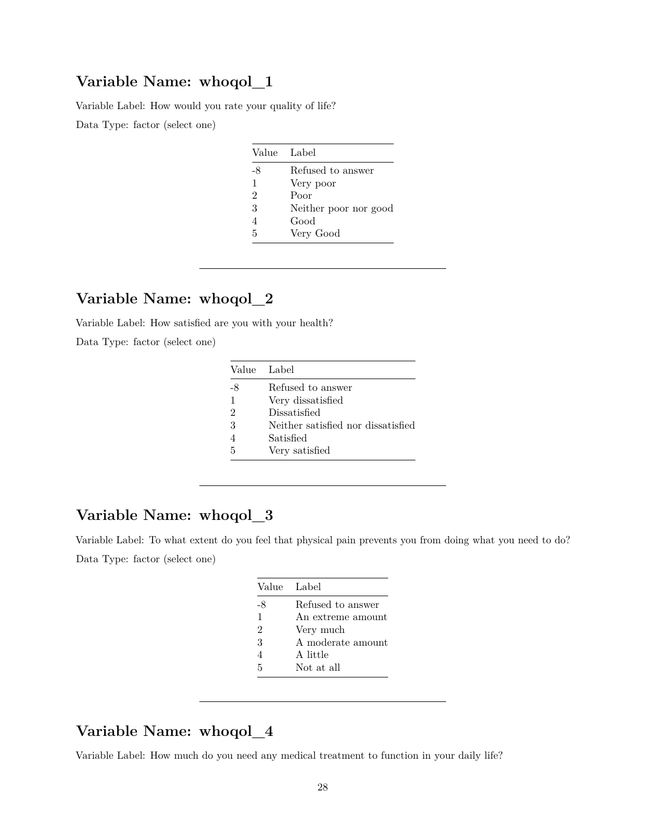Variable Label: How would you rate your quality of life?

Data Type: factor (select one)

|                | Value Label           |
|----------------|-----------------------|
| -8             | Refused to answer     |
| $\mathbf{1}$   | Very poor             |
| $\mathfrak{D}$ | Poor                  |
| 3              | Neither poor nor good |
|                | Good                  |
| 5              | Very Good             |

## **Variable Name: whoqol\_2**

Variable Label: How satisfied are you with your health?

Data Type: factor (select one)

|               | Value Label                        |
|---------------|------------------------------------|
| -8            | Refused to answer                  |
| 1             | Very dissatisfied                  |
| $\mathcal{D}$ | Dissatisfied                       |
| 3             | Neither satisfied nor dissatisfied |
|               | Satisfied                          |
| 5             | Very satisfied                     |

### **Variable Name: whoqol\_3**

Variable Label: To what extent do you feel that physical pain prevents you from doing what you need to do? Data Type: factor (select one)

| Value Label    |                   |
|----------------|-------------------|
| -8             | Refused to answer |
| $\mathbf{1}$   | An extreme amount |
| $\mathfrak{D}$ | Very much         |
| 3              | A moderate amount |
| 4              | A little          |
| 5              | Not at all        |

## **Variable Name: whoqol\_4**

Variable Label: How much do you need any medical treatment to function in your daily life?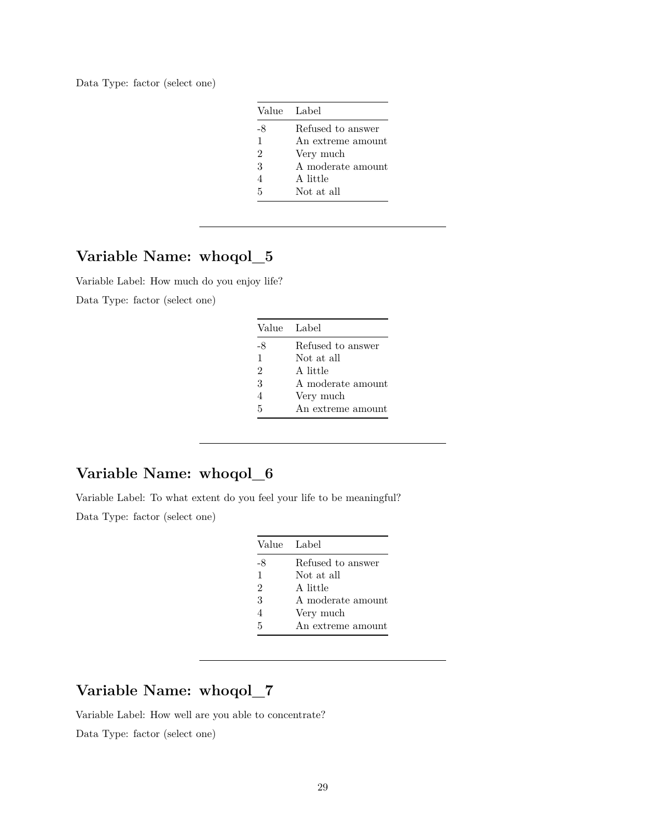Data Type: factor (select one)

| Value Label    |                   |
|----------------|-------------------|
| -8             | Refused to answer |
| $\mathbf{1}$   | An extreme amount |
| $\overline{2}$ | Very much         |
| 3              | A moderate amount |
|                | A little          |
| 5              | Not at all        |

# **Variable Name: whoqol\_5**

Variable Label: How much do you enjoy life? Data Type: factor (select one)

| Value Label    |                   |
|----------------|-------------------|
| -8             | Refused to answer |
| $\mathbf{1}$   | Not at all        |
| $\mathfrak{D}$ | A little          |
| 3              | A moderate amount |
|                | Very much         |
| 5              | An extreme amount |

## **Variable Name: whoqol\_6**

Variable Label: To what extent do you feel your life to be meaningful?

Data Type: factor (select one)

| Value Label    |                   |
|----------------|-------------------|
| -8             | Refused to answer |
| $\mathbf{1}$   | Not at all        |
| 2              | A little          |
| 3              | A moderate amount |
| $\overline{4}$ | Very much         |
| 5              | An extreme amount |

# **Variable Name: whoqol\_7**

Variable Label: How well are you able to concentrate?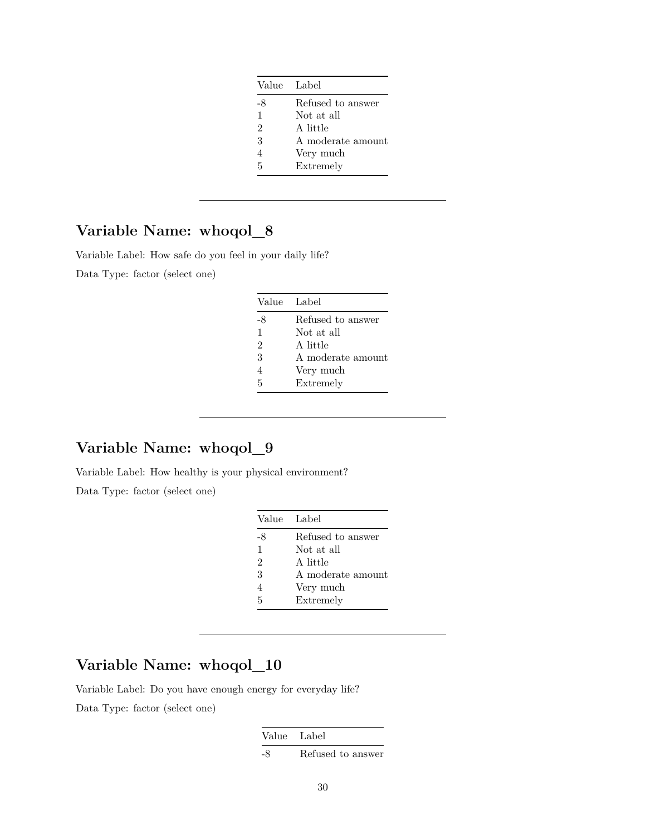| Value Label    |                   |
|----------------|-------------------|
| -8             | Refused to answer |
| $\mathbf{1}$   | Not at all        |
| $\overline{2}$ | A little          |
| 3              | A moderate amount |
| $\overline{4}$ | Very much         |
| 5              | Extremely         |

Variable Label: How safe do you feel in your daily life?

Data Type: factor (select one)

| Value Label    |                   |
|----------------|-------------------|
| -8             | Refused to answer |
| $\mathbf{1}$   | Not at all        |
| $\overline{2}$ | A little          |
| 3              | A moderate amount |
| $\overline{4}$ | Very much         |
| 5              | Extremely         |

# **Variable Name: whoqol\_9**

Variable Label: How healthy is your physical environment?

Data Type: factor (select one)

| Value Label    |                   |
|----------------|-------------------|
| -8             | Refused to answer |
| $\mathbf{1}$   | Not at all        |
| $\overline{2}$ | A little          |
| 3              | A moderate amount |
| 4              | Very much         |
| 5              | Extremely         |

# **Variable Name: whoqol\_10**

Variable Label: Do you have enough energy for everyday life?

| Value Label |                   |
|-------------|-------------------|
| -8          | Refused to answer |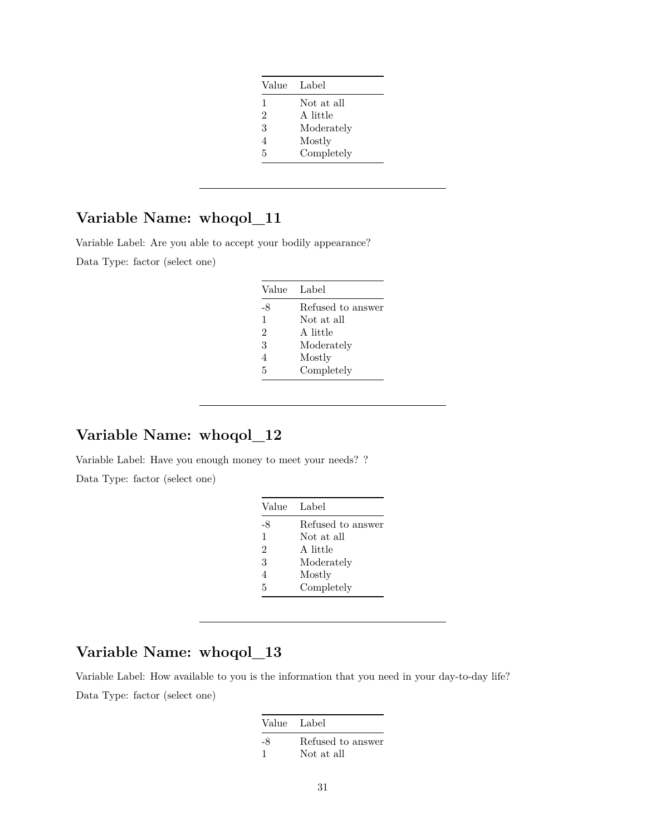| Value | Label      |
|-------|------------|
| 1     | Not at all |
| 2     | A little   |
| 3     | Moderately |
|       | Mostly     |
| 5     | Completely |

Variable Label: Are you able to accept your bodily appearance?

Data Type: factor (select one)

| Value Label |                   |
|-------------|-------------------|
| -8          | Refused to answer |
| 1           | Not at all        |
| 2           | A little          |
| 3           | Moderately        |
| 4           | Mostly            |
| 5           | Completely        |

### **Variable Name: whoqol\_12**

Variable Label: Have you enough money to meet your needs? ? Data Type: factor (select one)

| Value          | - Label           |
|----------------|-------------------|
| -8             | Refused to answer |
| 1              | Not at all        |
| $\overline{2}$ | A little          |
| 3              | Moderately        |
| 4              | Mostly            |
| 5              | Completely        |

# **Variable Name: whoqol\_13**

Variable Label: How available to you is the information that you need in your day-to-day life? Data Type: factor (select one)

| Value Label |                                 |
|-------------|---------------------------------|
| -8          | Refused to answer<br>Not at all |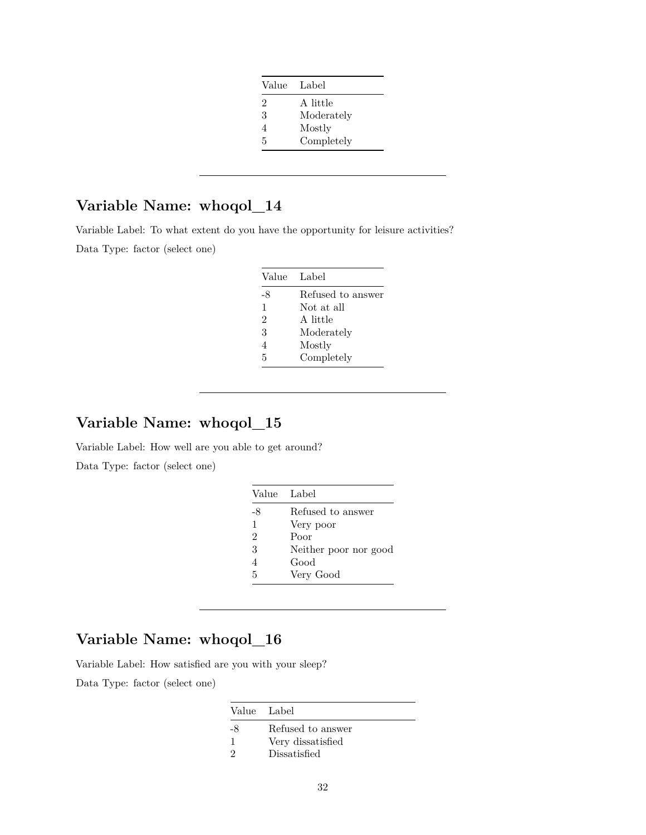| Value | Label      |
|-------|------------|
| 2     | A little   |
| 3     | Moderately |
| 4     | Mostly     |
| 5     | Completely |

Variable Label: To what extent do you have the opportunity for leisure activities? Data Type: factor (select one)

| Value          | Label             |
|----------------|-------------------|
| -8             | Refused to answer |
| 1              | Not at all        |
| 2              | A little          |
| 3              | Moderately        |
| $\overline{4}$ | Mostly            |
| 5              | Completely        |

### **Variable Name: whoqol\_15**

Variable Label: How well are you able to get around? Data Type: factor (select one)

| Value Label    |                       |
|----------------|-----------------------|
| -8             | Refused to answer     |
| $\mathbf{1}$   | Very poor             |
| $\overline{2}$ | Poor                  |
| 3              | Neither poor nor good |
| 4              | Good                  |
| 5              | Very Good             |

# **Variable Name: whoqol\_16**

Variable Label: How satisfied are you with your sleep?

|         | Value Label                                            |
|---------|--------------------------------------------------------|
| -8<br>9 | Refused to answer<br>Very dissatisfied<br>Dissatisfied |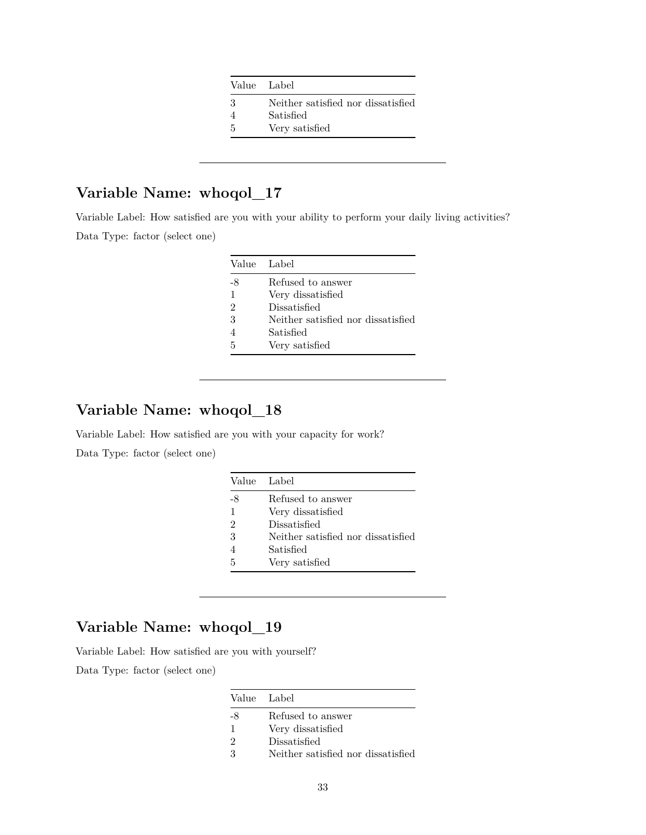|   | Value Label                        |
|---|------------------------------------|
| 3 | Neither satisfied nor dissatisfied |
|   | Satisfied                          |
| 5 | Very satisfied                     |

Variable Label: How satisfied are you with your ability to perform your daily living activities? Data Type: factor (select one)

|                | Value Label                        |
|----------------|------------------------------------|
| -8             | Refused to answer                  |
| $\mathbf{1}$   | Very dissatisfied                  |
| $\mathfrak{D}$ | Dissatisfied                       |
| 3              | Neither satisfied nor dissatisfied |
|                | Satisfied                          |
| 5              | Very satisfied                     |
|                |                                    |

### **Variable Name: whoqol\_18**

Variable Label: How satisfied are you with your capacity for work?

Data Type: factor (select one)

| Value Label |                                    |
|-------------|------------------------------------|
| -8          | Refused to answer                  |
| 1           | Very dissatisfied                  |
| 2           | Dissatisfied                       |
| 3           | Neither satisfied nor dissatisfied |
|             | Satisfied                          |
| 5           | Very satisfied                     |

### **Variable Name: whoqol\_19**

Variable Label: How satisfied are you with yourself?

|                             | Value Label                        |
|-----------------------------|------------------------------------|
| -8                          | Refused to answer                  |
|                             | Very dissatisfied                  |
| $\mathcal{D}_{\mathcal{L}}$ | Dissatisfied                       |
| З                           | Neither satisfied nor dissatisfied |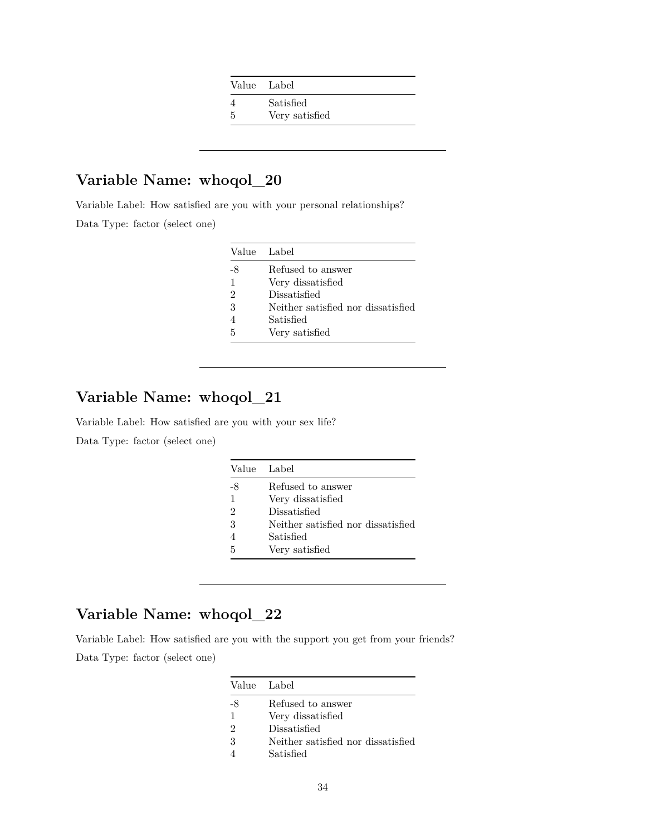Value Label

4 Satisfied

5 Very satisfied

### **Variable Name: whoqol\_20**

Variable Label: How satisfied are you with your personal relationships? Data Type: factor (select one)

|    | Value Label                        |
|----|------------------------------------|
| -8 | Refused to answer                  |
| 1  | Very dissatisfied                  |
| 2  | Dissatisfied                       |
| 3  | Neither satisfied nor dissatisfied |
| 4  | Satisfied                          |
| 5  | Very satisfied                     |

# **Variable Name: whoqol\_21**

Variable Label: How satisfied are you with your sex life?

Data Type: factor (select one)

|    | Value Label                        |
|----|------------------------------------|
| -8 | Refused to answer                  |
| 1  | Very dissatisfied                  |
| 2  | Dissatisfied                       |
| 3  | Neither satisfied nor dissatisfied |
|    | Satisfied                          |
| 5  | Very satisfied                     |

# **Variable Name: whoqol\_22**

Variable Label: How satisfied are you with the support you get from your friends? Data Type: factor (select one)

| Value Label                 |                                    |
|-----------------------------|------------------------------------|
| -8                          | Refused to answer                  |
| 1                           | Very dissatisfied                  |
| $\mathcal{D}_{\mathcal{L}}$ | Dissatisfied                       |
| 3                           | Neither satisfied nor dissatisfied |
|                             | Satisfied                          |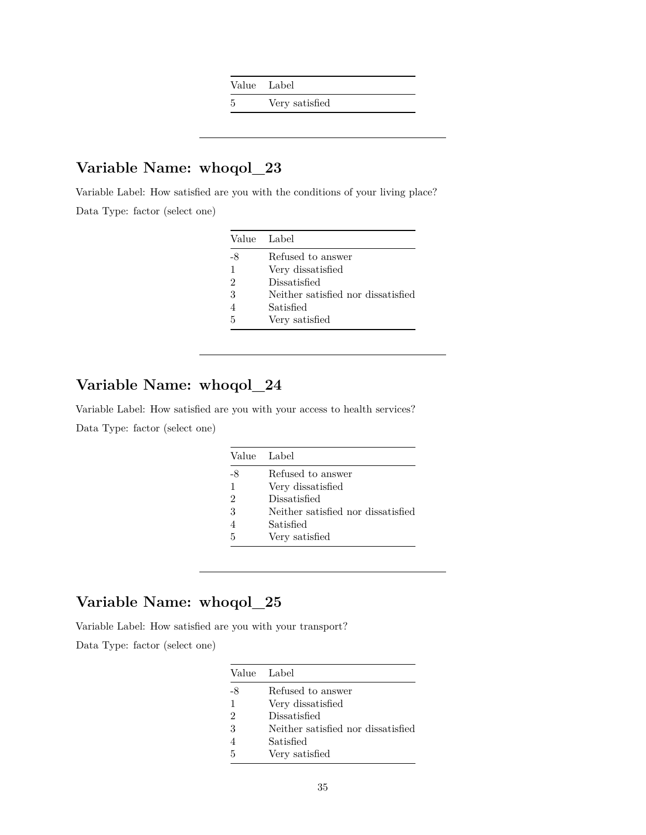Value Label

5 Very satisfied

## **Variable Name: whoqol\_23**

Variable Label: How satisfied are you with the conditions of your living place? Data Type: factor (select one)

|                | Value Label                        |
|----------------|------------------------------------|
| -8             | Refused to answer                  |
| 1              | Very dissatisfied                  |
| $\mathfrak{D}$ | Dissatisfied                       |
| 3              | Neither satisfied nor dissatisfied |
| 4              | Satisfied                          |
| 5              | Very satisfied                     |

# **Variable Name: whoqol\_24**

Variable Label: How satisfied are you with your access to health services? Data Type: factor (select one)

|                | Value Label                        |
|----------------|------------------------------------|
| -8             | Refused to answer                  |
| 1              | Very dissatisfied                  |
| $\mathfrak{D}$ | Dissatisfied                       |
| 3              | Neither satisfied nor dissatisfied |
| 4              | Satisfied                          |
| 5              | Very satisfied                     |

# **Variable Name: whoqol\_25**

Variable Label: How satisfied are you with your transport?

| Value Label |                                    |
|-------------|------------------------------------|
| -8          | Refused to answer                  |
| 1           | Very dissatisfied                  |
| 2           | Dissatisfied                       |
| 3           | Neither satisfied nor dissatisfied |
|             | Satisfied                          |
| 5           | Very satisfied                     |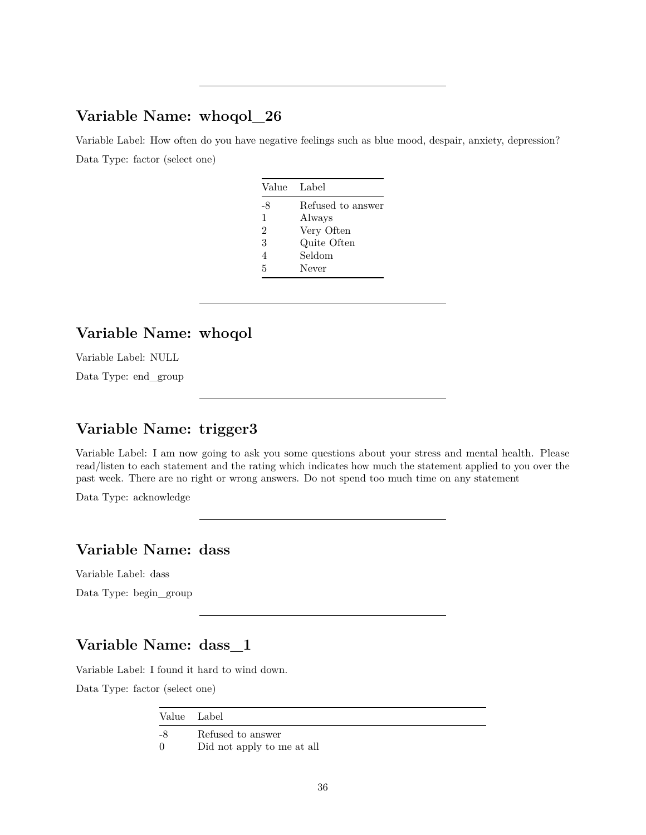Variable Label: How often do you have negative feelings such as blue mood, despair, anxiety, depression? Data Type: factor (select one)

| Value Label |                   |
|-------------|-------------------|
| -8          | Refused to answer |
| 1           | Always            |
| 2           | Very Often        |
| 3           | Quite Often       |
| 4           | Seldom            |
| 5           | Never             |

## **Variable Name: whoqol**

Variable Label: NULL

Data Type: end\_group

## **Variable Name: trigger3**

Variable Label: I am now going to ask you some questions about your stress and mental health. Please read/listen to each statement and the rating which indicates how much the statement applied to you over the past week. There are no right or wrong answers. Do not spend too much time on any statement

Data Type: acknowledge

### **Variable Name: dass**

Variable Label: dass Data Type: begin\_group

## **Variable Name: dass\_1**

Variable Label: I found it hard to wind down.

|        | Value Label                |
|--------|----------------------------|
| -8     | Refused to answer          |
| $\cup$ | Did not apply to me at all |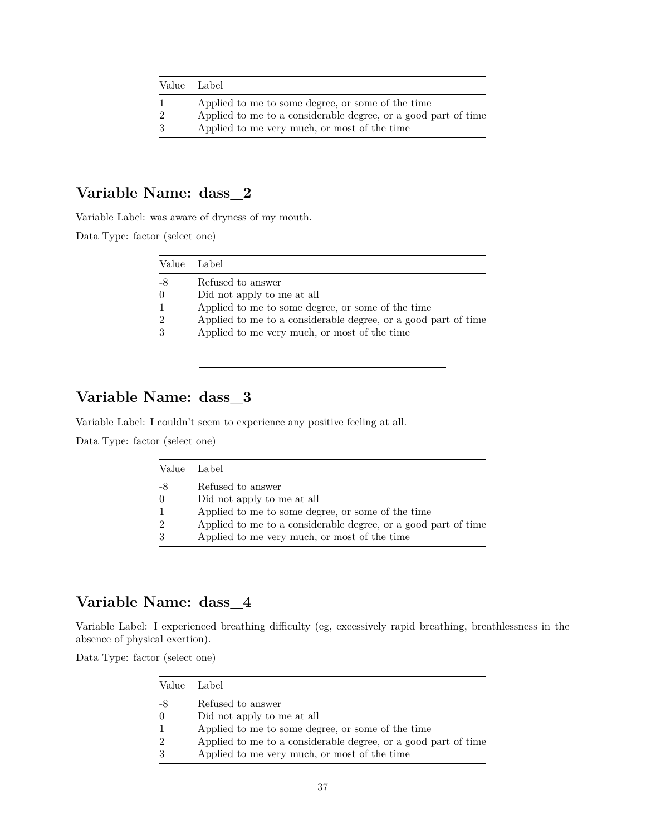| Value Label    |                                                                |
|----------------|----------------------------------------------------------------|
|                | Applied to me to some degree, or some of the time              |
| $\overline{2}$ | Applied to me to a considerable degree, or a good part of time |
| $\mathcal{S}$  | Applied to me very much, or most of the time                   |

# **Variable Name: dass\_2**

Variable Label: was aware of dryness of my mouth.

Data Type: factor (select one)

| Value Label    |                                                                |
|----------------|----------------------------------------------------------------|
| -8             | Refused to answer                                              |
| $\theta$       | Did not apply to me at all                                     |
| $\overline{1}$ | Applied to me to some degree, or some of the time              |
| $\overline{2}$ | Applied to me to a considerable degree, or a good part of time |
| 3              | Applied to me very much, or most of the time                   |

# **Variable Name: dass\_3**

Variable Label: I couldn't seem to experience any positive feeling at all.

Data Type: factor (select one)

| Value Label   |                                                                |
|---------------|----------------------------------------------------------------|
| -8            | Refused to answer                                              |
| $\theta$      | Did not apply to me at all                                     |
| $\mathbf{1}$  | Applied to me to some degree, or some of the time              |
| $\mathcal{D}$ | Applied to me to a considerable degree, or a good part of time |
| 3             | Applied to me very much, or most of the time                   |

## **Variable Name: dass\_4**

Variable Label: I experienced breathing difficulty (eg, excessively rapid breathing, breathlessness in the absence of physical exertion).

| Value Label   |                                                                |
|---------------|----------------------------------------------------------------|
| -8            | Refused to answer                                              |
| $\Omega$      | Did not apply to me at all                                     |
|               | Applied to me to some degree, or some of the time              |
| $\mathcal{D}$ | Applied to me to a considerable degree, or a good part of time |
| -3            | Applied to me very much, or most of the time                   |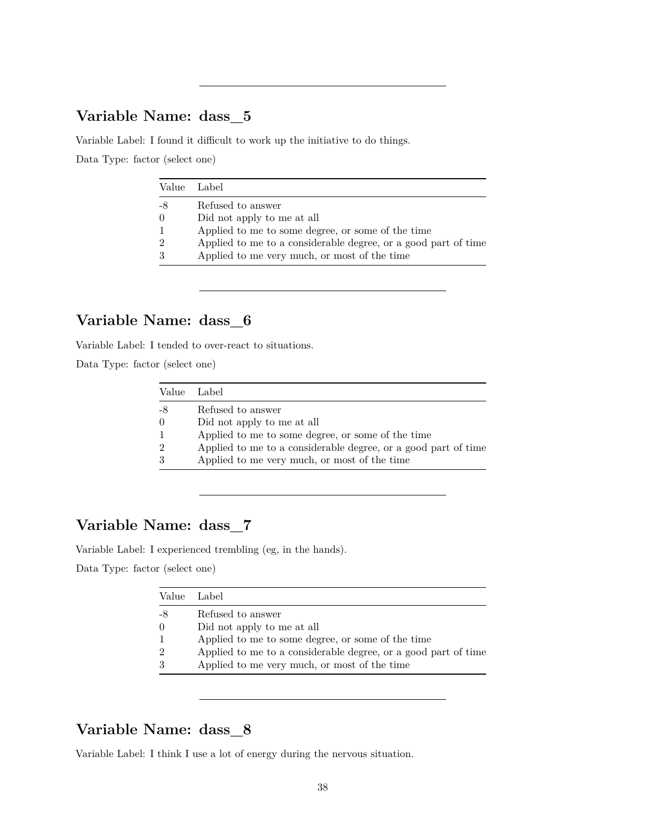## **Variable Name: dass\_5**

Variable Label: I found it difficult to work up the initiative to do things.

Data Type: factor (select one)

|                | Value Label                                                    |
|----------------|----------------------------------------------------------------|
| -8             | Refused to answer                                              |
| $\theta$       | Did not apply to me at all                                     |
| $\overline{1}$ | Applied to me to some degree, or some of the time              |
| $\overline{2}$ | Applied to me to a considerable degree, or a good part of time |
| 3              | Applied to me very much, or most of the time                   |
|                |                                                                |

# **Variable Name: dass\_6**

Variable Label: I tended to over-react to situations.

Data Type: factor (select one)

|                | Value Label                                                    |
|----------------|----------------------------------------------------------------|
| -8             | Refused to answer                                              |
| $\Omega$       | Did not apply to me at all                                     |
| $\mathbf{1}$   | Applied to me to some degree, or some of the time              |
| $\overline{2}$ | Applied to me to a considerable degree, or a good part of time |
| 3              | Applied to me very much, or most of the time                   |

# **Variable Name: dass\_7**

Variable Label: I experienced trembling (eg, in the hands).

Data Type: factor (select one)

| Value Label   |                                                                |
|---------------|----------------------------------------------------------------|
| -8            | Refused to answer                                              |
| $\theta$      | Did not apply to me at all                                     |
|               | Applied to me to some degree, or some of the time              |
| $\mathcal{D}$ | Applied to me to a considerable degree, or a good part of time |
| 3             | Applied to me very much, or most of the time                   |

### **Variable Name: dass\_8**

Variable Label: I think I use a lot of energy during the nervous situation.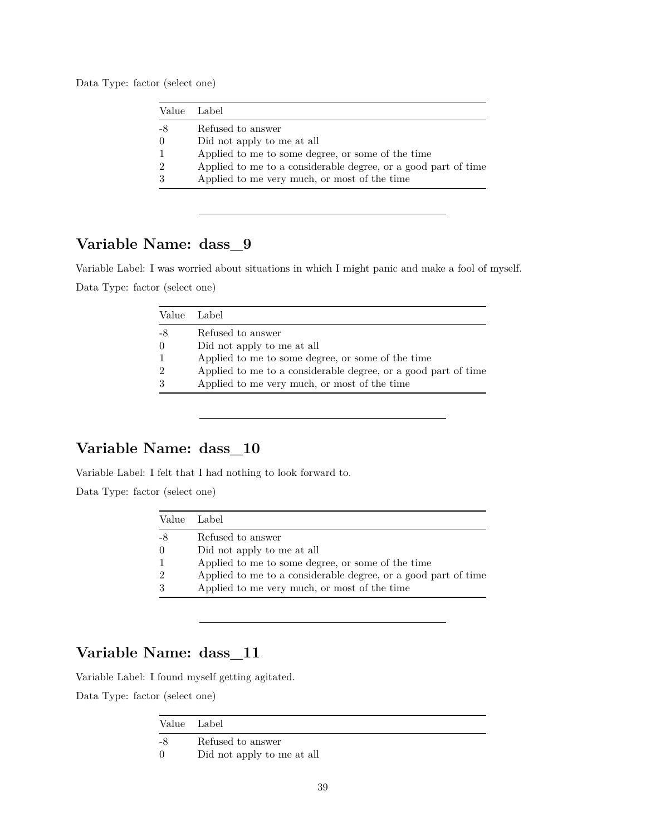Data Type: factor (select one)

| Value Label                                                    |
|----------------------------------------------------------------|
| Refused to answer                                              |
| Did not apply to me at all                                     |
| Applied to me to some degree, or some of the time              |
| Applied to me to a considerable degree, or a good part of time |
| Applied to me very much, or most of the time                   |
|                                                                |

### **Variable Name: dass\_9**

Variable Label: I was worried about situations in which I might panic and make a fool of myself. Data Type: factor (select one)

|                | Value Label                                                    |
|----------------|----------------------------------------------------------------|
| -8             | Refused to answer                                              |
| $\Omega$       | Did not apply to me at all                                     |
| $\mathbf{1}$   | Applied to me to some degree, or some of the time              |
| $\overline{2}$ | Applied to me to a considerable degree, or a good part of time |
| 3              | Applied to me very much, or most of the time                   |
|                |                                                                |

# **Variable Name: dass\_10**

Variable Label: I felt that I had nothing to look forward to.

Data Type: factor (select one)

| Value Label    |                                                                |
|----------------|----------------------------------------------------------------|
| -8             | Refused to answer                                              |
| $\Omega$       | Did not apply to me at all                                     |
| $\overline{1}$ | Applied to me to some degree, or some of the time              |
| $\overline{2}$ | Applied to me to a considerable degree, or a good part of time |
| 3              | Applied to me very much, or most of the time                   |

# **Variable Name: dass\_11**

Variable Label: I found myself getting agitated.

|        | Value Label                |
|--------|----------------------------|
| -8     | Refused to answer          |
| $\cup$ | Did not apply to me at all |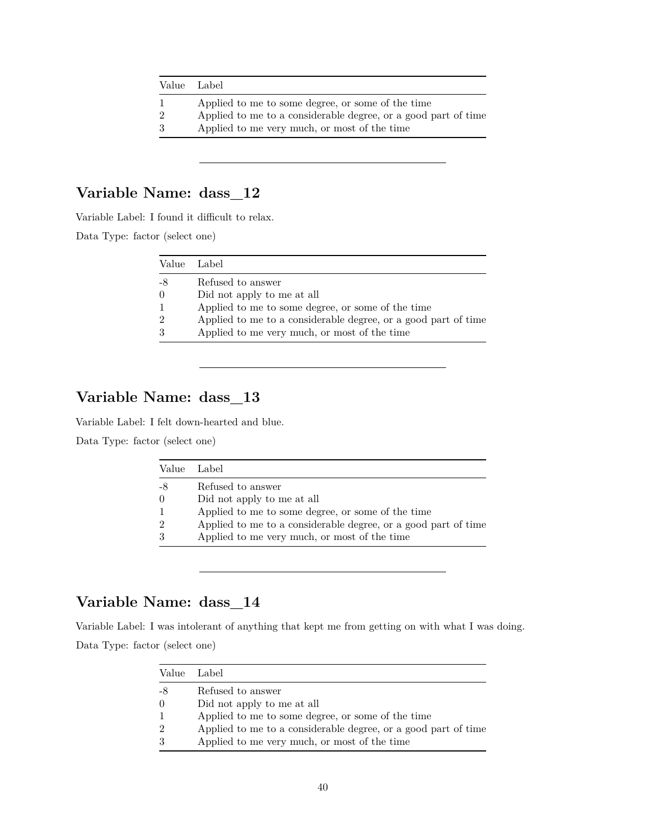| Value Label    |                                                                |
|----------------|----------------------------------------------------------------|
|                | Applied to me to some degree, or some of the time              |
| $\overline{2}$ | Applied to me to a considerable degree, or a good part of time |
| 3              | Applied to me very much, or most of the time                   |

# **Variable Name: dass\_12**

Variable Label: I found it difficult to relax.

Data Type: factor (select one)

| Value Label    |                                                                |
|----------------|----------------------------------------------------------------|
| -8             | Refused to answer                                              |
| $\theta$       | Did not apply to me at all                                     |
| $\mathbf{1}$   | Applied to me to some degree, or some of the time              |
| $\overline{2}$ | Applied to me to a considerable degree, or a good part of time |
| 3              | Applied to me very much, or most of the time                   |

# **Variable Name: dass\_13**

Variable Label: I felt down-hearted and blue.

Data Type: factor (select one)

| Value Label    |                                                                |
|----------------|----------------------------------------------------------------|
| -8             | Refused to answer                                              |
| $\Omega$       | Did not apply to me at all                                     |
| $\overline{1}$ | Applied to me to some degree, or some of the time              |
| $\overline{2}$ | Applied to me to a considerable degree, or a good part of time |
| 3              | Applied to me very much, or most of the time                   |

### **Variable Name: dass\_14**

Variable Label: I was intolerant of anything that kept me from getting on with what I was doing. Data Type: factor (select one)

|                  | Value Label                                                    |
|------------------|----------------------------------------------------------------|
| -8               | Refused to answer                                              |
| $\left( \right)$ | Did not apply to me at all                                     |
|                  | Applied to me to some degree, or some of the time              |
| റ                | Applied to me to a considerable degree, or a good part of time |
| 3                | Applied to me very much, or most of the time                   |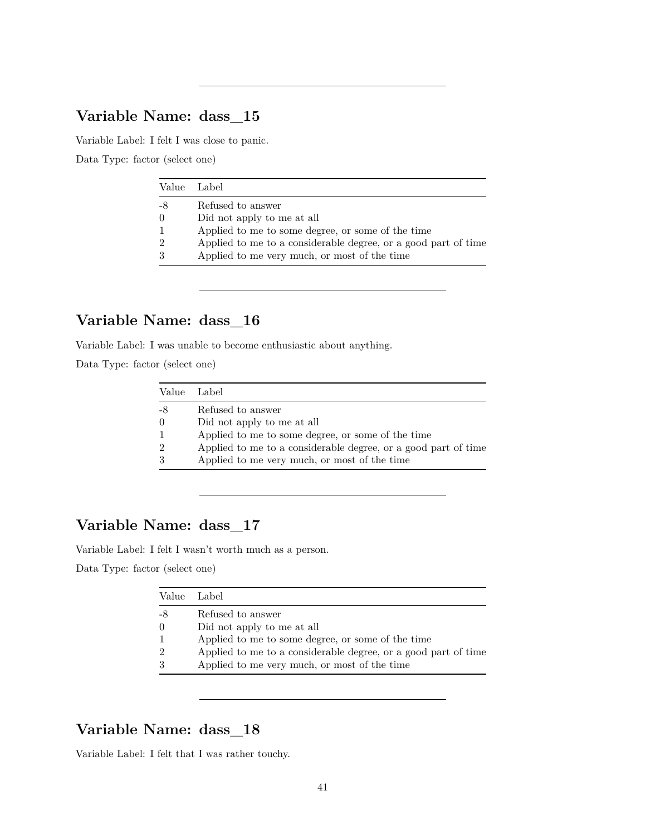### **Variable Name: dass\_15**

Variable Label: I felt I was close to panic.

Data Type: factor (select one)

|                | Value Label                                                    |
|----------------|----------------------------------------------------------------|
| -8             | Refused to answer                                              |
| $\theta$       | Did not apply to me at all                                     |
| $\overline{1}$ | Applied to me to some degree, or some of the time              |
| $\mathcal{D}$  | Applied to me to a considerable degree, or a good part of time |
| 3              | Applied to me very much, or most of the time                   |
|                |                                                                |

### **Variable Name: dass\_16**

Variable Label: I was unable to become enthusiastic about anything.

Data Type: factor (select one)

|                | Value Label                                                    |
|----------------|----------------------------------------------------------------|
| -8             | Refused to answer                                              |
| $\Omega$       | Did not apply to me at all                                     |
| $\mathbf{1}$   | Applied to me to some degree, or some of the time              |
| $\mathfrak{D}$ | Applied to me to a considerable degree, or a good part of time |
| 3              | Applied to me very much, or most of the time                   |

# **Variable Name: dass\_17**

Variable Label: I felt I wasn't worth much as a person.

Data Type: factor (select one)

| Value Label |                                                                |
|-------------|----------------------------------------------------------------|
| -8          | Refused to answer                                              |
| $\Omega$    | Did not apply to me at all                                     |
|             | Applied to me to some degree, or some of the time              |
| $\Omega$    | Applied to me to a considerable degree, or a good part of time |
| 3           | Applied to me very much, or most of the time                   |

### **Variable Name: dass\_18**

Variable Label: I felt that I was rather touchy.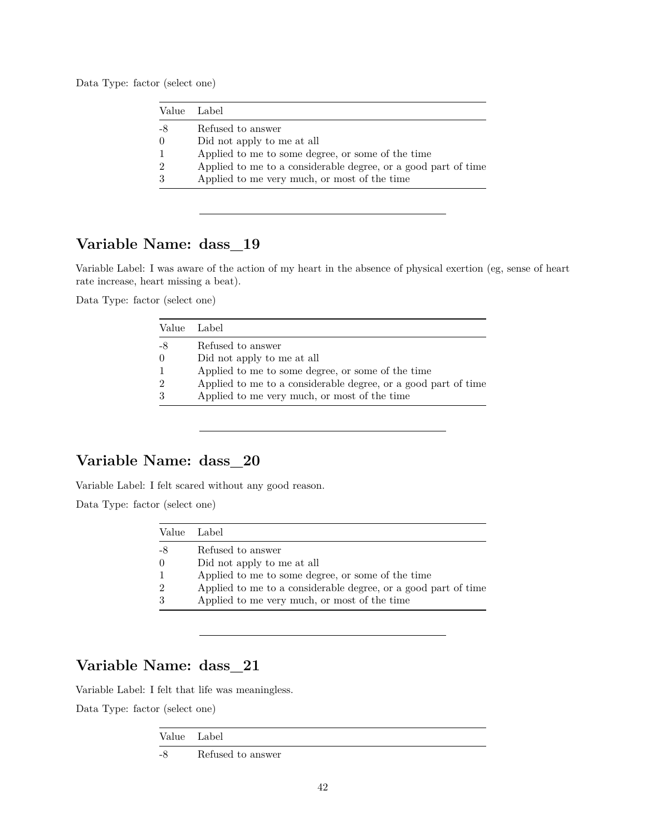Data Type: factor (select one)

| Value Label                                                    |
|----------------------------------------------------------------|
| Refused to answer                                              |
| Did not apply to me at all                                     |
| Applied to me to some degree, or some of the time              |
| Applied to me to a considerable degree, or a good part of time |
| Applied to me very much, or most of the time                   |
|                                                                |

### **Variable Name: dass\_19**

Variable Label: I was aware of the action of my heart in the absence of physical exertion (eg, sense of heart rate increase, heart missing a beat).

Data Type: factor (select one)

| Value Label   |                                                                |
|---------------|----------------------------------------------------------------|
| -8            | Refused to answer                                              |
| $\theta$      | Did not apply to me at all                                     |
|               | Applied to me to some degree, or some of the time              |
| $\mathcal{D}$ | Applied to me to a considerable degree, or a good part of time |
|               | Applied to me very much, or most of the time                   |

# **Variable Name: dass\_20**

Variable Label: I felt scared without any good reason.

Data Type: factor (select one)

|                | Value Label                                                    |
|----------------|----------------------------------------------------------------|
| -8             | Refused to answer                                              |
| $\Omega$       | Did not apply to me at all                                     |
| $\mathbf{1}$   | Applied to me to some degree, or some of the time              |
| $\overline{2}$ | Applied to me to a considerable degree, or a good part of time |
| 3              | Applied to me very much, or most of the time                   |

## **Variable Name: dass\_21**

Variable Label: I felt that life was meaningless.

| Value | Label             |
|-------|-------------------|
| -8    | Refused to answer |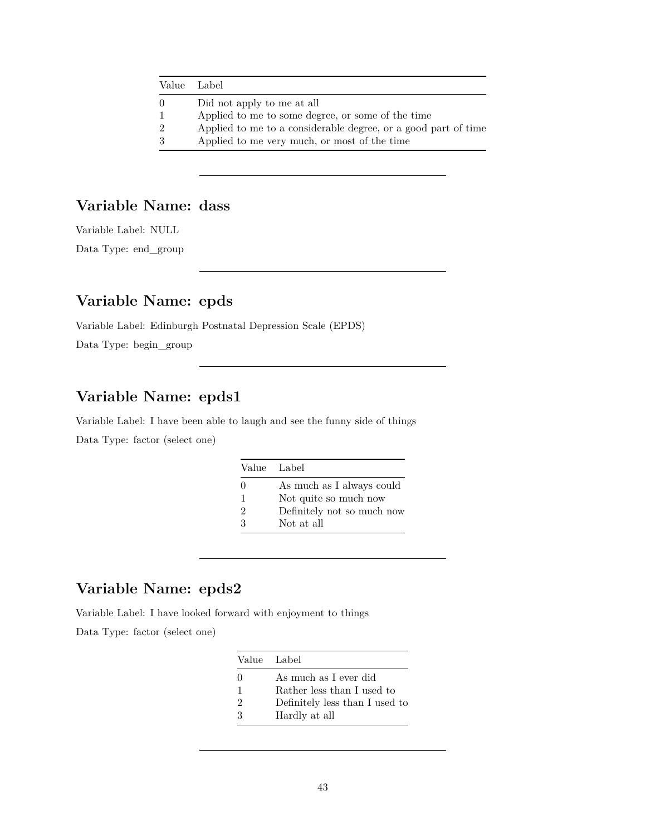|                                        | Value Label                                                    |
|----------------------------------------|----------------------------------------------------------------|
| Did not apply to me at all<br>$\Omega$ |                                                                |
| 1                                      | Applied to me to some degree, or some of the time              |
| $\overline{2}$                         | Applied to me to a considerable degree, or a good part of time |
| 3                                      | Applied to me very much, or most of the time                   |
|                                        |                                                                |

## **Variable Name: dass**

Variable Label: NULL Data Type: end\_group

# **Variable Name: epds**

Variable Label: Edinburgh Postnatal Depression Scale (EPDS) Data Type: begin\_group

## **Variable Name: epds1**

Variable Label: I have been able to laugh and see the funny side of things Data Type: factor (select one)

| Value Label      |                            |
|------------------|----------------------------|
| $\left( \right)$ | As much as I always could  |
| 1                | Not quite so much now      |
| 2                | Definitely not so much now |
| З                | Not at all                 |

# **Variable Name: epds2**

Variable Label: I have looked forward with enjoyment to things

|              | Value Label                    |
|--------------|--------------------------------|
| $\mathbf{0}$ | As much as I ever did          |
| 1            | Rather less than I used to     |
| 2            | Definitely less than I used to |
| 3            | Hardly at all                  |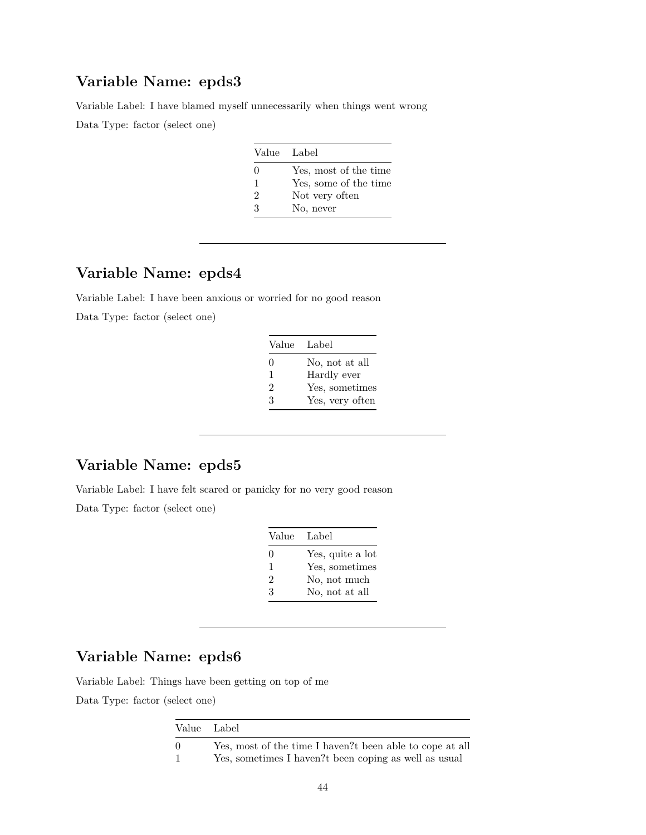### **Variable Name: epds3**

Variable Label: I have blamed myself unnecessarily when things went wrong

Data Type: factor (select one)

| Value Label |                       |
|-------------|-----------------------|
| 0           | Yes, most of the time |
| 1           | Yes, some of the time |
| 2           | Not very often        |
| 3           | No, never             |

## **Variable Name: epds4**

Variable Label: I have been anxious or worried for no good reason

Data Type: factor (select one)

| Value Label  |                 |
|--------------|-----------------|
| $\mathbf{0}$ | No, not at all  |
| 1            | Hardly ever     |
| 2            | Yes, sometimes  |
| 3            | Yes, very often |
|              |                 |

### **Variable Name: epds5**

Variable Label: I have felt scared or panicky for no very good reason Data Type: factor (select one)

| Value Label  |                  |
|--------------|------------------|
| $\mathbf{0}$ | Yes, quite a lot |
| 1            | Yes, sometimes   |
| 2            | No, not much     |
| 3            | No, not at all   |

# **Variable Name: epds6**

Variable Label: Things have been getting on top of me

| Value Label |                                                                                                                   |
|-------------|-------------------------------------------------------------------------------------------------------------------|
| $\Omega$    | Yes, most of the time I haven?t been able to cope at all<br>Yes, sometimes I haven?t been coping as well as usual |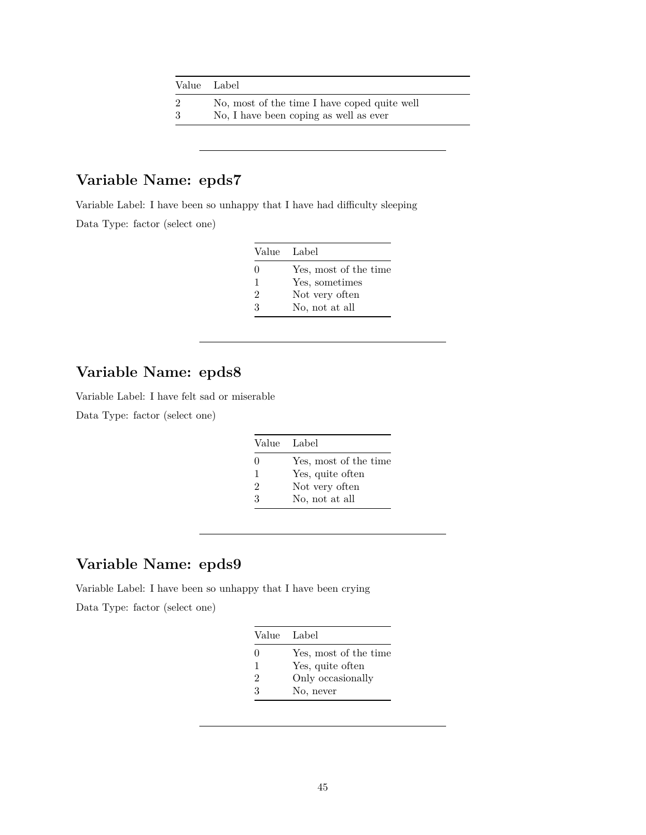|        | Value Label                                                                            |
|--------|----------------------------------------------------------------------------------------|
| 2<br>3 | No, most of the time I have coped quite well<br>No, I have been coping as well as ever |
|        |                                                                                        |

# **Variable Name: epds7**

Variable Label: I have been so unhappy that I have had difficulty sleeping Data Type: factor (select one)

| Value Label |                       |
|-------------|-----------------------|
| $\Omega$    | Yes, most of the time |
| 1           | Yes, sometimes        |
| 2           | Not very often        |
| 3           | No, not at all        |

# **Variable Name: epds8**

Variable Label: I have felt sad or miserable

Data Type: factor (select one)

|          | Value Label           |
|----------|-----------------------|
| $\Omega$ | Yes, most of the time |
| 1        | Yes, quite often      |
| 2        | Not very often        |
| 3        | No, not at all        |

# **Variable Name: epds9**

Variable Label: I have been so unhappy that I have been crying

| Value Label       |                       |
|-------------------|-----------------------|
| $\mathbf{\Omega}$ | Yes, most of the time |
| 1                 | Yes, quite often      |
| 2                 | Only occasionally     |
| 3                 | No, never             |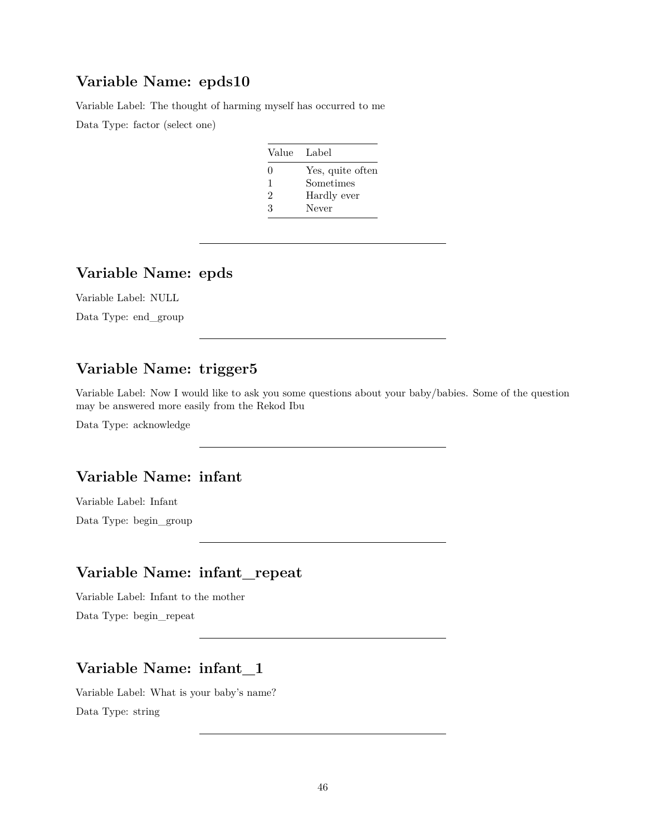### **Variable Name: epds10**

Variable Label: The thought of harming myself has occurred to me

Data Type: factor (select one)

| Value | Label            |
|-------|------------------|
| 0     | Yes, quite often |
| 1     | Sometimes        |
| 2     | Hardly ever      |
| 3     | Never            |

## **Variable Name: epds**

Variable Label: NULL

Data Type: end\_group

## **Variable Name: trigger5**

Variable Label: Now I would like to ask you some questions about your baby/babies. Some of the question may be answered more easily from the Rekod Ibu

Data Type: acknowledge

## **Variable Name: infant**

Variable Label: Infant Data Type: begin\_group

## **Variable Name: infant\_repeat**

Variable Label: Infant to the mother Data Type: begin\_repeat

### **Variable Name: infant\_1**

Variable Label: What is your baby's name? Data Type: string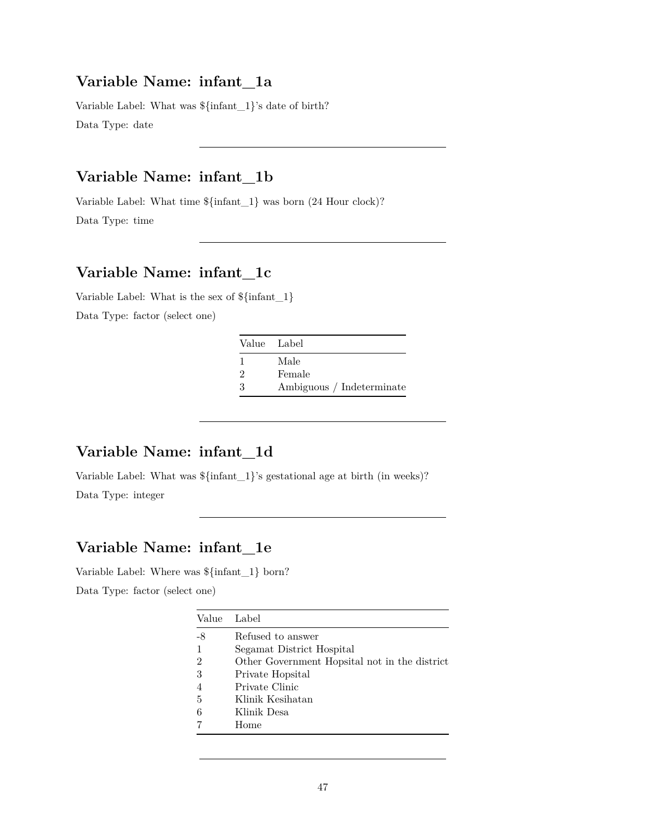### **Variable Name: infant\_1a**

Variable Label: What was \${infant\_1}'s date of birth? Data Type: date

## **Variable Name: infant\_1b**

Variable Label: What time \${infant\_1} was born (24 Hour clock)? Data Type: time

## **Variable Name: infant\_1c**

Variable Label: What is the sex of \${infant\_1} Data Type: factor (select one)

|          | Value Label               |
|----------|---------------------------|
|          | Male                      |
| $\Omega$ | Female                    |
| 3        | Ambiguous / Indeterminate |

## **Variable Name: infant\_1d**

Variable Label: What was \${infant\_1}'s gestational age at birth (in weeks)?

Data Type: integer

# **Variable Name: infant\_1e**

Variable Label: Where was \${infant\_1} born? Data Type: factor (select one)

| Value | Label                                         |
|-------|-----------------------------------------------|
| $-8$  | Refused to answer                             |
|       | Segamat District Hospital                     |
| 2     | Other Government Hopsital not in the district |
| 3     | Private Hopsital                              |
|       | Private Clinic                                |
| 5     | Klinik Kesihatan                              |
| 6     | Klinik Desa                                   |
|       | Home                                          |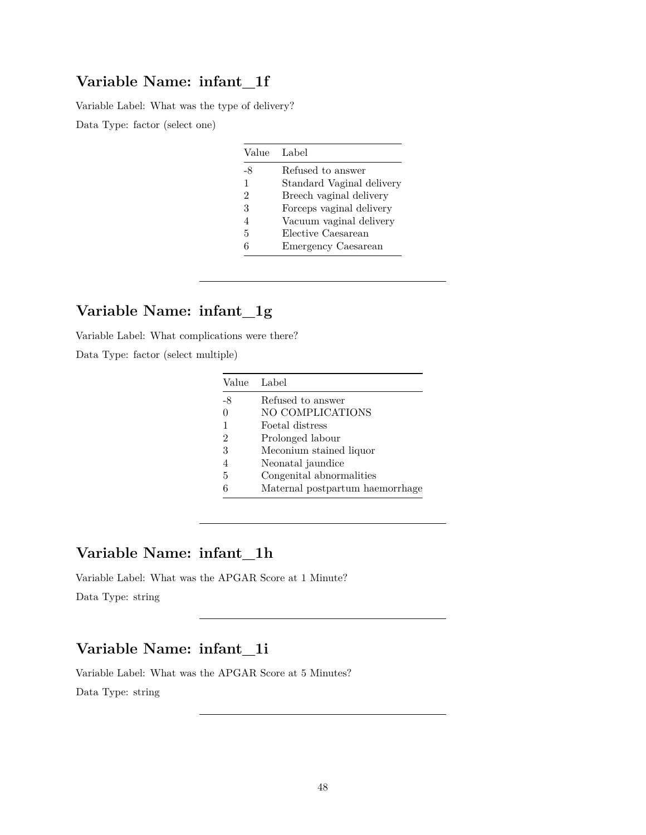### **Variable Name: infant\_1f**

Variable Label: What was the type of delivery?

Data Type: factor (select one)

| Value | Label                     |
|-------|---------------------------|
| -8    | Refused to answer         |
| 1     | Standard Vaginal delivery |
| 2     | Breech vaginal delivery   |
| 3     | Forceps vaginal delivery  |
| 4     | Vacuum vaginal delivery   |
| 5     | Elective Caesarean        |
| 6     | Emergency Caesarean       |

## **Variable Name: infant\_1g**

Variable Label: What complications were there?

Data Type: factor (select multiple)

| Value Label    |                                 |
|----------------|---------------------------------|
| -8             | Refused to answer               |
| $\theta$       | NO COMPLICATIONS                |
| 1              | Foetal distress                 |
| $\overline{2}$ | Prolonged labour                |
| 3              | Meconium stained liquor         |
| 4              | Neonatal jaundice               |
| 5              | Congenital abnormalities        |
| հ              | Maternal postpartum haemorrhage |

# **Variable Name: infant\_1h**

Variable Label: What was the APGAR Score at 1 Minute? Data Type: string

## **Variable Name: infant\_1i**

Variable Label: What was the APGAR Score at 5 Minutes? Data Type: string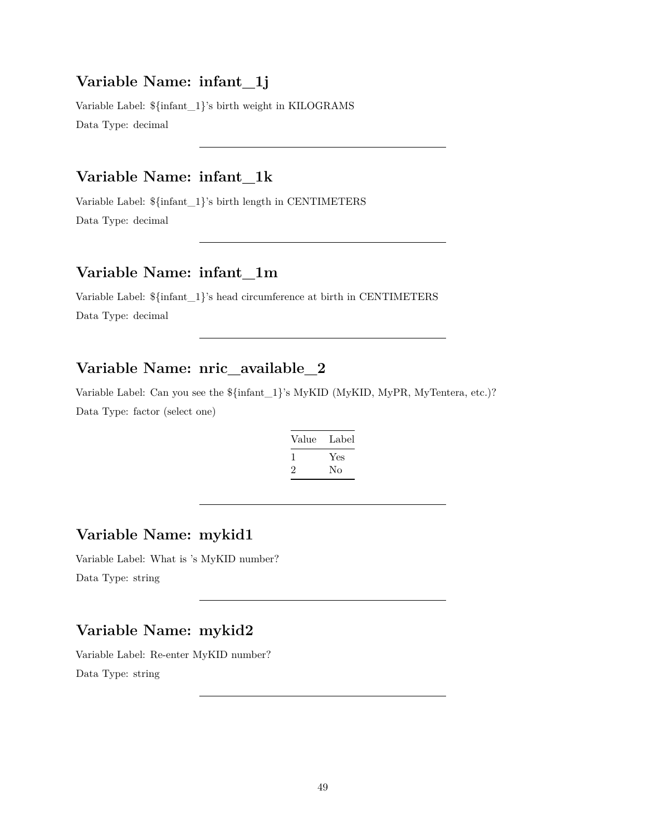### **Variable Name: infant\_1j**

Variable Label: \${infant\_1}'s birth weight in KILOGRAMS Data Type: decimal

### **Variable Name: infant\_1k**

Variable Label: \${infant\_1}'s birth length in CENTIMETERS Data Type: decimal

## **Variable Name: infant\_1m**

Variable Label: \${infant\_1}'s head circumference at birth in CENTIMETERS Data Type: decimal

## **Variable Name: nric\_available\_2**

Variable Label: Can you see the \${infant\_1}'s MyKID (MyKID, MyPR, MyTentera, etc.)? Data Type: factor (select one)

| Value   | Label |
|---------|-------|
|         | Yes   |
| $\cdot$ | Nο    |

### **Variable Name: mykid1**

Variable Label: What is 's MyKID number? Data Type: string

### **Variable Name: mykid2**

Variable Label: Re-enter MyKID number? Data Type: string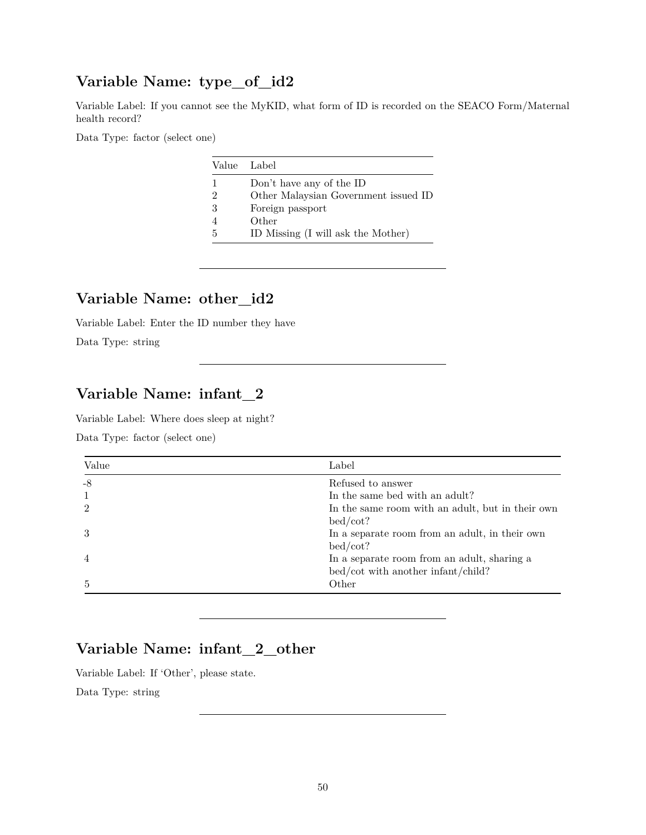## **Variable Name: type\_of\_id2**

Variable Label: If you cannot see the MyKID, what form of ID is recorded on the SEACO Form/Maternal health record?

Data Type: factor (select one)

|   | Value Label                          |
|---|--------------------------------------|
| 1 | Don't have any of the ID             |
| 2 | Other Malaysian Government issued ID |
| 3 | Foreign passport                     |
|   | Other                                |
| 5 | ID Missing (I will ask the Mother)   |

### **Variable Name: other\_id2**

Variable Label: Enter the ID number they have Data Type: string

### **Variable Name: infant\_2**

Variable Label: Where does sleep at night?

Data Type: factor (select one)

| Value          | Label                                                                             |
|----------------|-----------------------------------------------------------------------------------|
| $-8$           | Refused to answer                                                                 |
|                | In the same bed with an adult?                                                    |
| $\mathcal{D}$  | In the same room with an adult, but in their own<br>bed/cot?                      |
| 3              | In a separate room from an adult, in their own<br>bed/cot?                        |
| $\overline{4}$ | In a separate room from an adult, sharing a<br>bed/cot with another infant/child? |
| 5              | Other                                                                             |

## **Variable Name: infant\_2\_other**

Variable Label: If 'Other', please state.

Data Type: string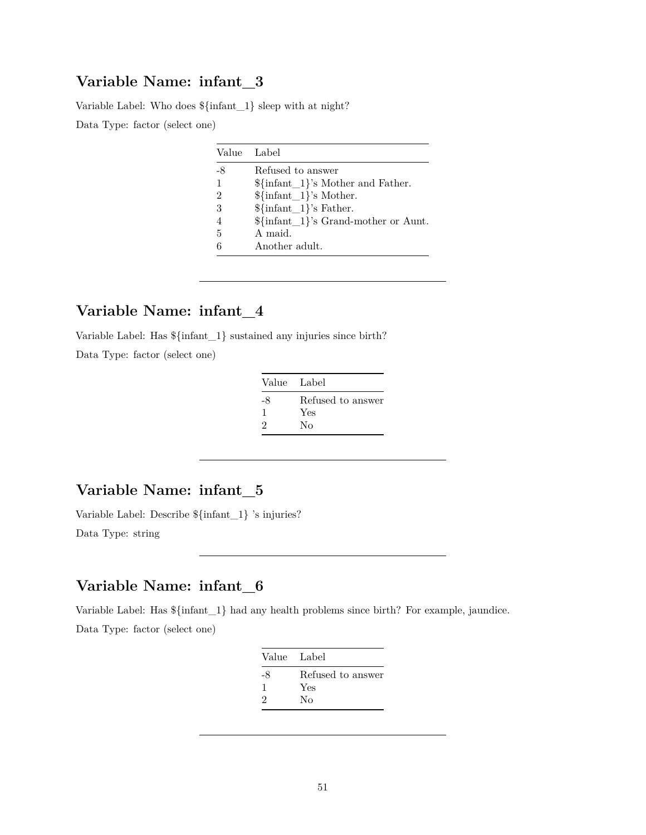### **Variable Name: infant\_3**

Variable Label: Who does \${infant\_1} sleep with at night? Data Type: factor (select one)

|    | Value Label                                  |
|----|----------------------------------------------|
| -8 | Refused to answer                            |
| 1. | $\{\text{infant}\_1\}$ 's Mother and Father. |
| 2  | $\{\text{infant}\_1\}$ 's Mother.            |
| 3  | ${\sf finfant\_1}$ 's Father.                |
| 4  | $\{\infty\}$ 's Grand-mother or Aunt.        |
| 5  | A maid.                                      |
|    | Another adult.                               |

## **Variable Name: infant\_4**

Variable Label: Has \${infant\_1} sustained any injuries since birth?

Data Type: factor (select one)

| Value Label |                   |
|-------------|-------------------|
| -8          | Refused to answer |
| 1           | Yes               |
| 2           | Nο                |

### **Variable Name: infant\_5**

Variable Label: Describe \${infant\_1} 's injuries? Data Type: string

### **Variable Name: infant\_6**

Variable Label: Has \${infant\_1} had any health problems since birth? For example, jaundice. Data Type: factor (select one)

| Value Label |                   |
|-------------|-------------------|
| -8          | Refused to answer |
| 1           | Yes               |
|             | Nο                |
|             |                   |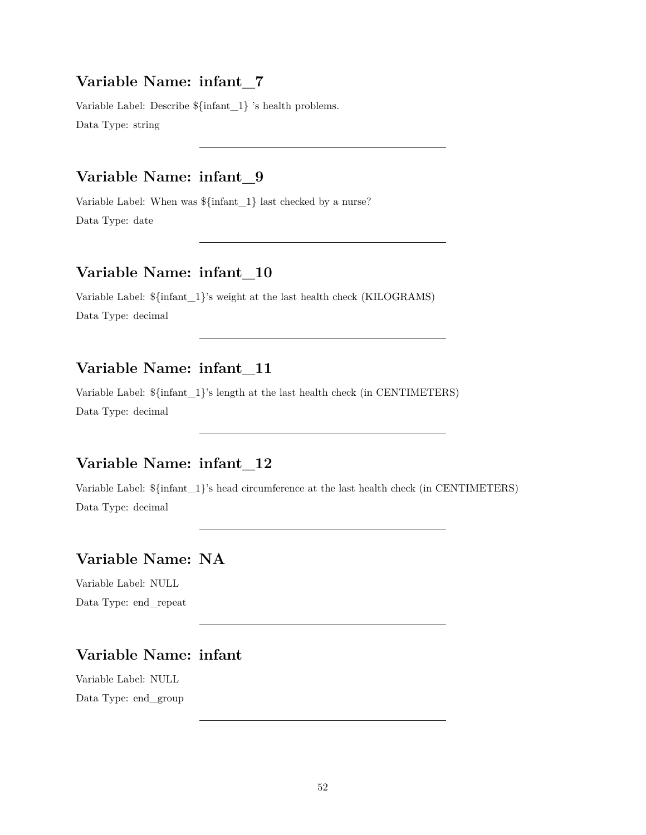### **Variable Name: infant\_7**

Variable Label: Describe \${infant\_1} 's health problems. Data Type: string

### **Variable Name: infant\_9**

Variable Label: When was \${infant\_1} last checked by a nurse? Data Type: date

## **Variable Name: infant\_10**

Variable Label: \${infant\_1}'s weight at the last health check (KILOGRAMS) Data Type: decimal

### **Variable Name: infant\_11**

Variable Label: \${infant\_1}'s length at the last health check (in CENTIMETERS) Data Type: decimal

### **Variable Name: infant\_12**

Variable Label: \${infant\_1}'s head circumference at the last health check (in CENTIMETERS) Data Type: decimal

### **Variable Name: NA**

Variable Label: NULL Data Type: end\_repeat

# **Variable Name: infant**

Variable Label: NULL Data Type: end\_group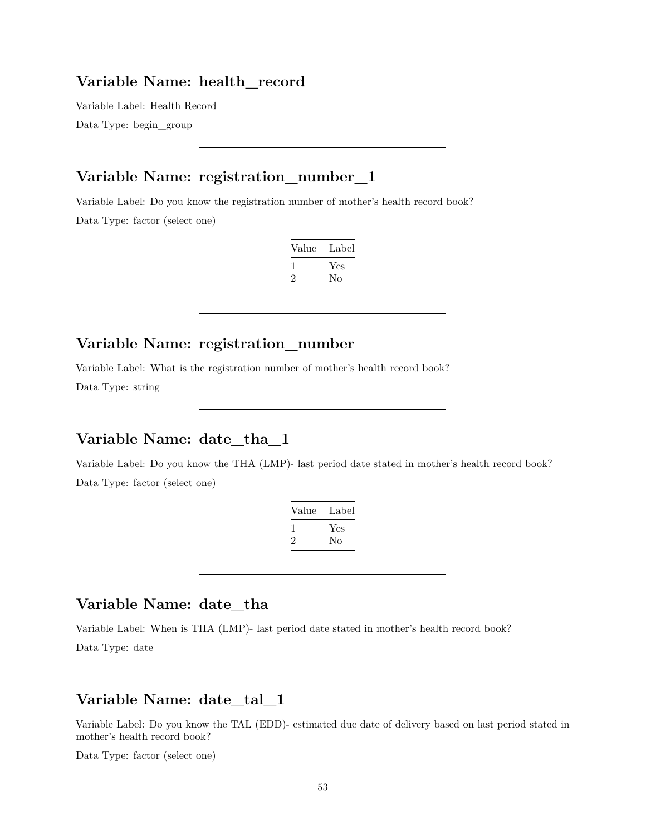#### **Variable Name: health\_record**

Variable Label: Health Record Data Type: begin\_group

# **Variable Name: registration\_number\_1**

Variable Label: Do you know the registration number of mother's health record book? Data Type: factor (select one)

| Value | Label |
|-------|-------|
| L     | Yes   |
| ۰,    | Nο    |

# **Variable Name: registration\_number**

Variable Label: What is the registration number of mother's health record book? Data Type: string

# **Variable Name: date\_tha\_1**

Variable Label: Do you know the THA (LMP)- last period date stated in mother's health record book? Data Type: factor (select one)

| Value | Label |
|-------|-------|
|       | Yes   |
| ۰,    | Nο    |

### **Variable Name: date\_tha**

Variable Label: When is THA (LMP)- last period date stated in mother's health record book?

Data Type: date

### **Variable Name: date\_tal\_1**

Variable Label: Do you know the TAL (EDD)- estimated due date of delivery based on last period stated in mother's health record book?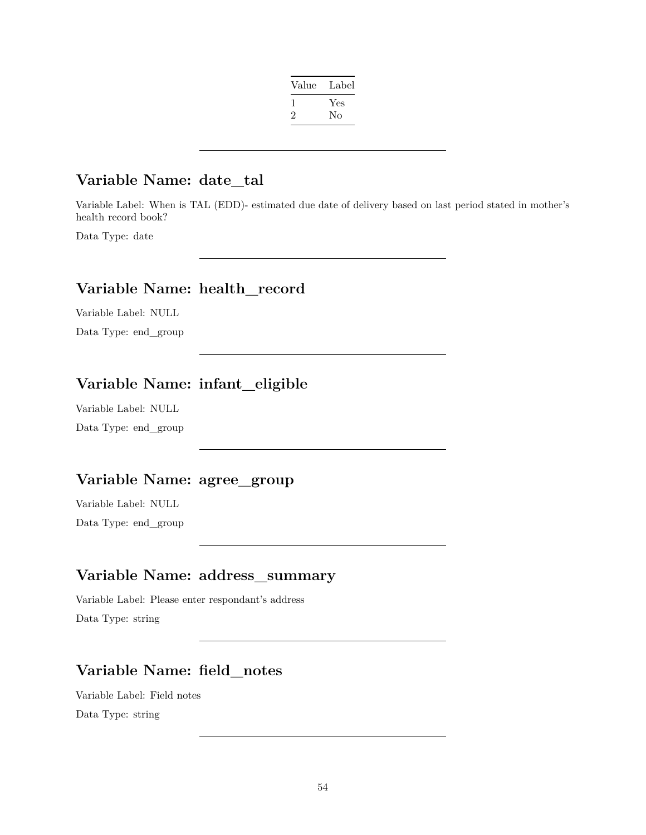| Value | Label |
|-------|-------|
|       | Yes   |
| '2    | Nο    |
|       |       |

### **Variable Name: date\_tal**

Variable Label: When is TAL (EDD)- estimated due date of delivery based on last period stated in mother's health record book?

Data Type: date

## **Variable Name: health\_record**

Variable Label: NULL

Data Type: end\_group

# **Variable Name: infant\_eligible**

Variable Label: NULL Data Type: end\_group

### **Variable Name: agree\_group**

Variable Label: NULL Data Type: end\_group

### **Variable Name: address\_summary**

Variable Label: Please enter respondant's address Data Type: string

### **Variable Name: field\_notes**

Variable Label: Field notes Data Type: string